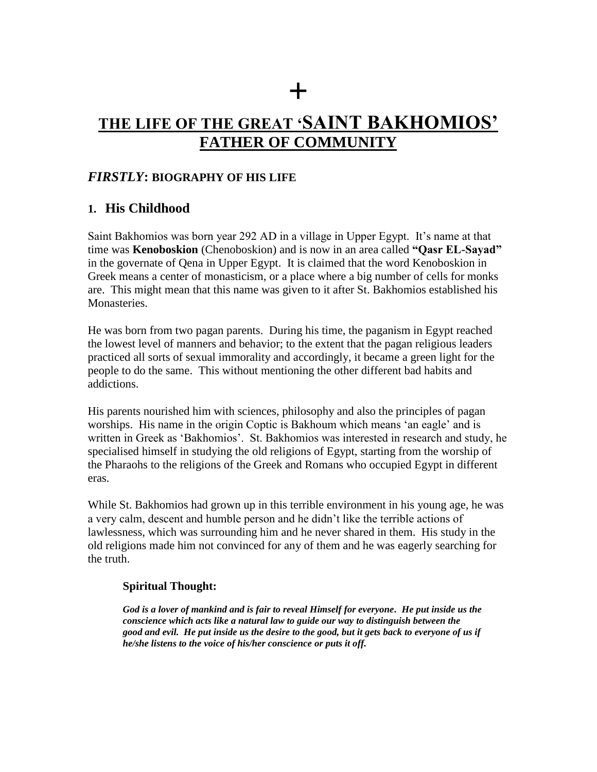# **+ THE LIFE OF THE GREAT "SAINT BAKHOMIOS" FATHER OF COMMUNITY**

### *FIRSTLY***: BIOGRAPHY OF HIS LIFE**

### **1. His Childhood**

Saint Bakhomios was born year 292 AD in a village in Upper Egypt. It"s name at that time was **Kenoboskion** (Chenoboskion) and is now in an area called **"Qasr EL-Sayad"** in the governate of Qena in Upper Egypt. It is claimed that the word Kenoboskion in Greek means a center of monasticism, or a place where a big number of cells for monks are. This might mean that this name was given to it after St. Bakhomios established his Monasteries.

He was born from two pagan parents. During his time, the paganism in Egypt reached the lowest level of manners and behavior; to the extent that the pagan religious leaders practiced all sorts of sexual immorality and accordingly, it became a green light for the people to do the same. This without mentioning the other different bad habits and addictions.

His parents nourished him with sciences, philosophy and also the principles of pagan worships. His name in the origin Coptic is Bakhoum which means "an eagle" and is written in Greek as 'Bakhomios'. St. Bakhomios was interested in research and study, he specialised himself in studying the old religions of Egypt, starting from the worship of the Pharaohs to the religions of the Greek and Romans who occupied Egypt in different eras.

While St. Bakhomios had grown up in this terrible environment in his young age, he was a very calm, descent and humble person and he didn"t like the terrible actions of lawlessness, which was surrounding him and he never shared in them. His study in the old religions made him not convinced for any of them and he was eagerly searching for the truth.

#### **Spiritual Thought:**

*God is a lover of mankind and is fair to reveal Himself for everyone. He put inside us the conscience which acts like a natural law to guide our way to distinguish between the good and evil. He put inside us the desire to the good, but it gets back to everyone of us if he/she listens to the voice of his/her conscience or puts it off.*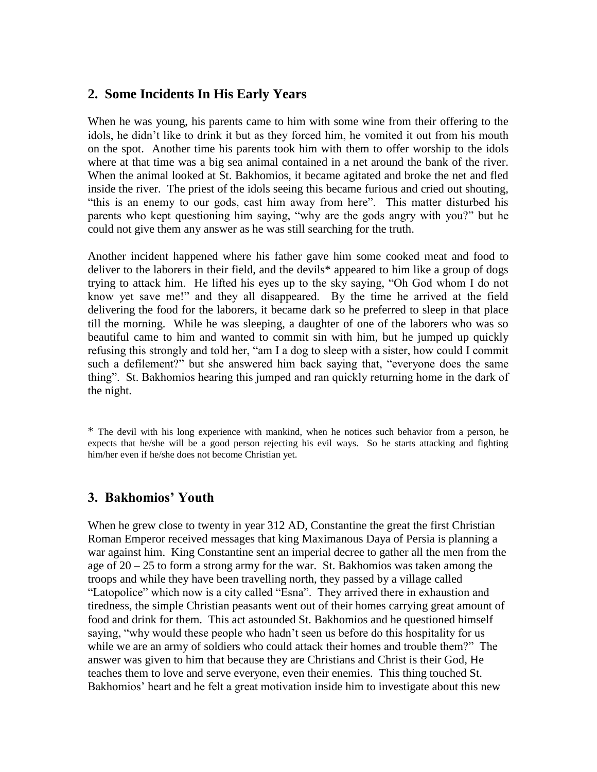### **2. Some Incidents In His Early Years**

When he was young, his parents came to him with some wine from their offering to the idols, he didn"t like to drink it but as they forced him, he vomited it out from his mouth on the spot. Another time his parents took him with them to offer worship to the idols where at that time was a big sea animal contained in a net around the bank of the river. When the animal looked at St. Bakhomios, it became agitated and broke the net and fled inside the river. The priest of the idols seeing this became furious and cried out shouting, "this is an enemy to our gods, cast him away from here". This matter disturbed his parents who kept questioning him saying, "why are the gods angry with you?" but he could not give them any answer as he was still searching for the truth.

Another incident happened where his father gave him some cooked meat and food to deliver to the laborers in their field, and the devils\* appeared to him like a group of dogs trying to attack him. He lifted his eyes up to the sky saying, "Oh God whom I do not know yet save me!" and they all disappeared. By the time he arrived at the field delivering the food for the laborers, it became dark so he preferred to sleep in that place till the morning. While he was sleeping, a daughter of one of the laborers who was so beautiful came to him and wanted to commit sin with him, but he jumped up quickly refusing this strongly and told her, "am I a dog to sleep with a sister, how could I commit such a defilement?" but she answered him back saying that, "everyone does the same thing". St. Bakhomios hearing this jumped and ran quickly returning home in the dark of the night.

\* The devil with his long experience with mankind, when he notices such behavior from a person, he expects that he/she will be a good person rejecting his evil ways. So he starts attacking and fighting him/her even if he/she does not become Christian yet.

### **3. Bakhomios" Youth**

When he grew close to twenty in year 312 AD, Constantine the great the first Christian Roman Emperor received messages that king Maximanous Daya of Persia is planning a war against him. King Constantine sent an imperial decree to gather all the men from the age of 20 – 25 to form a strong army for the war. St. Bakhomios was taken among the troops and while they have been travelling north, they passed by a village called "Latopolice" which now is a city called "Esna". They arrived there in exhaustion and tiredness, the simple Christian peasants went out of their homes carrying great amount of food and drink for them. This act astounded St. Bakhomios and he questioned himself saying, "why would these people who hadn"t seen us before do this hospitality for us while we are an army of soldiers who could attack their homes and trouble them?" The answer was given to him that because they are Christians and Christ is their God, He teaches them to love and serve everyone, even their enemies. This thing touched St. Bakhomios' heart and he felt a great motivation inside him to investigate about this new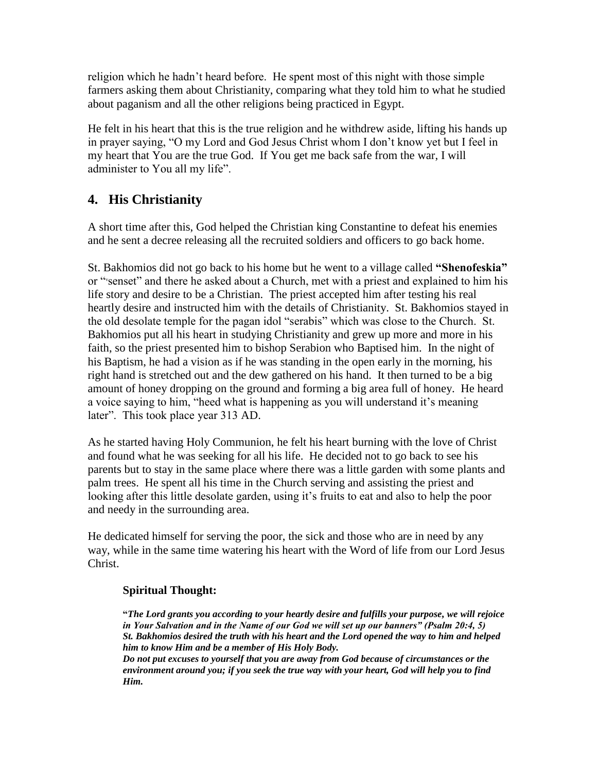religion which he hadn"t heard before. He spent most of this night with those simple farmers asking them about Christianity, comparing what they told him to what he studied about paganism and all the other religions being practiced in Egypt.

He felt in his heart that this is the true religion and he withdrew aside, lifting his hands up in prayer saying, "O my Lord and God Jesus Christ whom I don"t know yet but I feel in my heart that You are the true God. If You get me back safe from the war, I will administer to You all my life".

# **4. His Christianity**

A short time after this, God helped the Christian king Constantine to defeat his enemies and he sent a decree releasing all the recruited soldiers and officers to go back home.

St. Bakhomios did not go back to his home but he went to a village called **"Shenofeskia"** or "vsenset" and there he asked about a Church, met with a priest and explained to him his life story and desire to be a Christian. The priest accepted him after testing his real heartly desire and instructed him with the details of Christianity. St. Bakhomios stayed in the old desolate temple for the pagan idol "serabis" which was close to the Church. St. Bakhomios put all his heart in studying Christianity and grew up more and more in his faith, so the priest presented him to bishop Serabion who Baptised him. In the night of his Baptism, he had a vision as if he was standing in the open early in the morning, his right hand is stretched out and the dew gathered on his hand. It then turned to be a big amount of honey dropping on the ground and forming a big area full of honey. He heard a voice saying to him, "heed what is happening as you will understand it's meaning later". This took place year 313 AD.

As he started having Holy Communion, he felt his heart burning with the love of Christ and found what he was seeking for all his life. He decided not to go back to see his parents but to stay in the same place where there was a little garden with some plants and palm trees. He spent all his time in the Church serving and assisting the priest and looking after this little desolate garden, using it's fruits to eat and also to help the poor and needy in the surrounding area.

He dedicated himself for serving the poor, the sick and those who are in need by any way, while in the same time watering his heart with the Word of life from our Lord Jesus Christ.

### **Spiritual Thought:**

**"***The Lord grants you according to your heartly desire and fulfills your purpose, we will rejoice in Your Salvation and in the Name of our God we will set up our banners" (Psalm 20:4, 5) St. Bakhomios desired the truth with his heart and the Lord opened the way to him and helped him to know Him and be a member of His Holy Body.* 

*Do not put excuses to yourself that you are away from God because of circumstances or the environment around you; if you seek the true way with your heart, God will help you to find Him.*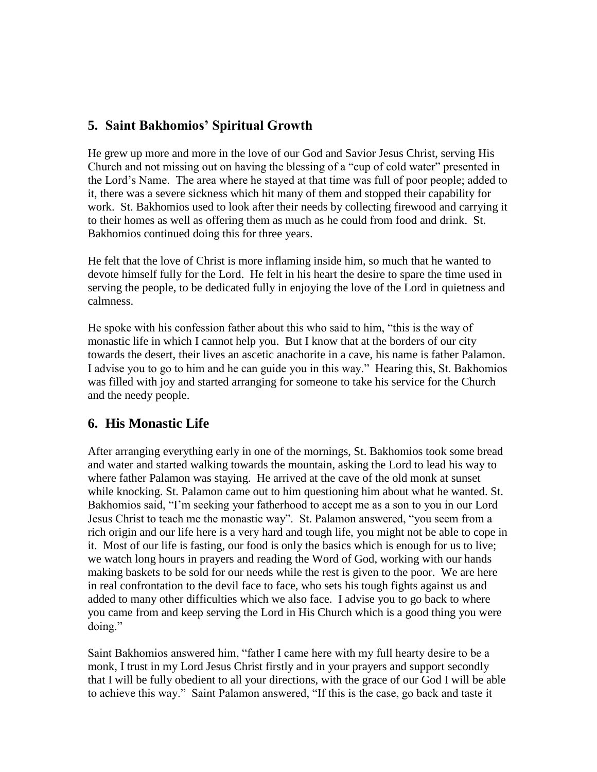# **5. Saint Bakhomios" Spiritual Growth**

He grew up more and more in the love of our God and Savior Jesus Christ, serving His Church and not missing out on having the blessing of a "cup of cold water" presented in the Lord"s Name. The area where he stayed at that time was full of poor people; added to it, there was a severe sickness which hit many of them and stopped their capability for work. St. Bakhomios used to look after their needs by collecting firewood and carrying it to their homes as well as offering them as much as he could from food and drink. St. Bakhomios continued doing this for three years.

He felt that the love of Christ is more inflaming inside him, so much that he wanted to devote himself fully for the Lord. He felt in his heart the desire to spare the time used in serving the people, to be dedicated fully in enjoying the love of the Lord in quietness and calmness.

He spoke with his confession father about this who said to him, "this is the way of monastic life in which I cannot help you. But I know that at the borders of our city towards the desert, their lives an ascetic anachorite in a cave, his name is father Palamon. I advise you to go to him and he can guide you in this way." Hearing this, St. Bakhomios was filled with joy and started arranging for someone to take his service for the Church and the needy people.

# **6. His Monastic Life**

After arranging everything early in one of the mornings, St. Bakhomios took some bread and water and started walking towards the mountain, asking the Lord to lead his way to where father Palamon was staying. He arrived at the cave of the old monk at sunset while knocking. St. Palamon came out to him questioning him about what he wanted. St. Bakhomios said, "I"m seeking your fatherhood to accept me as a son to you in our Lord Jesus Christ to teach me the monastic way". St. Palamon answered, "you seem from a rich origin and our life here is a very hard and tough life, you might not be able to cope in it. Most of our life is fasting, our food is only the basics which is enough for us to live; we watch long hours in prayers and reading the Word of God, working with our hands making baskets to be sold for our needs while the rest is given to the poor. We are here in real confrontation to the devil face to face, who sets his tough fights against us and added to many other difficulties which we also face. I advise you to go back to where you came from and keep serving the Lord in His Church which is a good thing you were doing."

Saint Bakhomios answered him, "father I came here with my full hearty desire to be a monk, I trust in my Lord Jesus Christ firstly and in your prayers and support secondly that I will be fully obedient to all your directions, with the grace of our God I will be able to achieve this way." Saint Palamon answered, "If this is the case, go back and taste it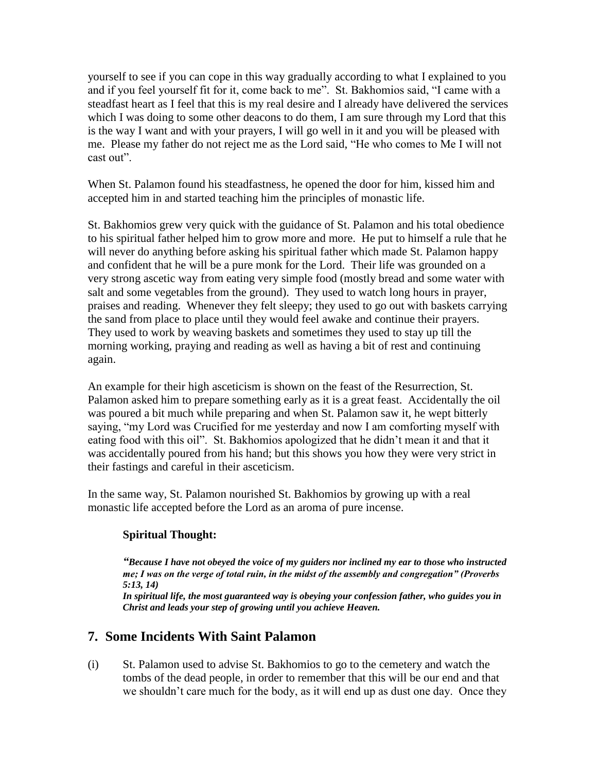yourself to see if you can cope in this way gradually according to what I explained to you and if you feel yourself fit for it, come back to me". St. Bakhomios said, "I came with a steadfast heart as I feel that this is my real desire and I already have delivered the services which I was doing to some other deacons to do them, I am sure through my Lord that this is the way I want and with your prayers, I will go well in it and you will be pleased with me. Please my father do not reject me as the Lord said, "He who comes to Me I will not cast out".

When St. Palamon found his steadfastness, he opened the door for him, kissed him and accepted him in and started teaching him the principles of monastic life.

St. Bakhomios grew very quick with the guidance of St. Palamon and his total obedience to his spiritual father helped him to grow more and more. He put to himself a rule that he will never do anything before asking his spiritual father which made St. Palamon happy and confident that he will be a pure monk for the Lord. Their life was grounded on a very strong ascetic way from eating very simple food (mostly bread and some water with salt and some vegetables from the ground). They used to watch long hours in prayer, praises and reading. Whenever they felt sleepy; they used to go out with baskets carrying the sand from place to place until they would feel awake and continue their prayers. They used to work by weaving baskets and sometimes they used to stay up till the morning working, praying and reading as well as having a bit of rest and continuing again.

An example for their high asceticism is shown on the feast of the Resurrection, St. Palamon asked him to prepare something early as it is a great feast. Accidentally the oil was poured a bit much while preparing and when St. Palamon saw it, he wept bitterly saying, "my Lord was Crucified for me yesterday and now I am comforting myself with eating food with this oil". St. Bakhomios apologized that he didn"t mean it and that it was accidentally poured from his hand; but this shows you how they were very strict in their fastings and careful in their asceticism.

In the same way, St. Palamon nourished St. Bakhomios by growing up with a real monastic life accepted before the Lord as an aroma of pure incense.

### **Spiritual Thought:**

*"Because I have not obeyed the voice of my guiders nor inclined my ear to those who instructed me; I was on the verge of total ruin, in the midst of the assembly and congregation" (Proverbs 5:13, 14)*

*In spiritual life, the most guaranteed way is obeying your confession father, who guides you in Christ and leads your step of growing until you achieve Heaven.*

# **7. Some Incidents With Saint Palamon**

(i) St. Palamon used to advise St. Bakhomios to go to the cemetery and watch the tombs of the dead people, in order to remember that this will be our end and that we shouldn"t care much for the body, as it will end up as dust one day. Once they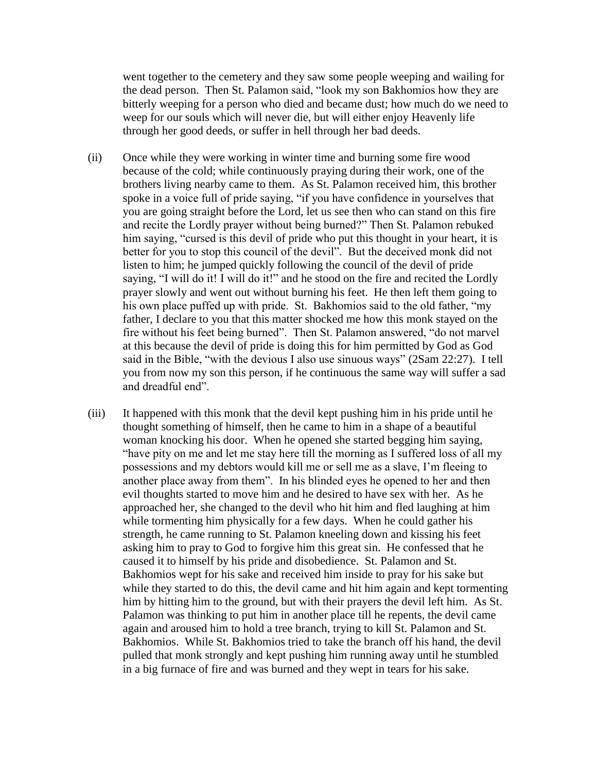went together to the cemetery and they saw some people weeping and wailing for the dead person. Then St. Palamon said, "look my son Bakhomios how they are bitterly weeping for a person who died and became dust; how much do we need to weep for our souls which will never die, but will either enjoy Heavenly life through her good deeds, or suffer in hell through her bad deeds.

- (ii) Once while they were working in winter time and burning some fire wood because of the cold; while continuously praying during their work, one of the brothers living nearby came to them. As St. Palamon received him, this brother spoke in a voice full of pride saying, "if you have confidence in yourselves that you are going straight before the Lord, let us see then who can stand on this fire and recite the Lordly prayer without being burned?" Then St. Palamon rebuked him saying, "cursed is this devil of pride who put this thought in your heart, it is better for you to stop this council of the devil". But the deceived monk did not listen to him; he jumped quickly following the council of the devil of pride saying, "I will do it! I will do it!" and he stood on the fire and recited the Lordly prayer slowly and went out without burning his feet. He then left them going to his own place puffed up with pride. St. Bakhomios said to the old father, "my father, I declare to you that this matter shocked me how this monk stayed on the fire without his feet being burned". Then St. Palamon answered, "do not marvel at this because the devil of pride is doing this for him permitted by God as God said in the Bible, "with the devious I also use sinuous ways" (2Sam 22:27). I tell you from now my son this person, if he continuous the same way will suffer a sad and dreadful end".
- (iii) It happened with this monk that the devil kept pushing him in his pride until he thought something of himself, then he came to him in a shape of a beautiful woman knocking his door. When he opened she started begging him saying, "have pity on me and let me stay here till the morning as I suffered loss of all my possessions and my debtors would kill me or sell me as a slave, I"m fleeing to another place away from them". In his blinded eyes he opened to her and then evil thoughts started to move him and he desired to have sex with her. As he approached her, she changed to the devil who hit him and fled laughing at him while tormenting him physically for a few days. When he could gather his strength, he came running to St. Palamon kneeling down and kissing his feet asking him to pray to God to forgive him this great sin. He confessed that he caused it to himself by his pride and disobedience. St. Palamon and St. Bakhomios wept for his sake and received him inside to pray for his sake but while they started to do this, the devil came and hit him again and kept tormenting him by hitting him to the ground, but with their prayers the devil left him. As St. Palamon was thinking to put him in another place till he repents, the devil came again and aroused him to hold a tree branch, trying to kill St. Palamon and St. Bakhomios. While St. Bakhomios tried to take the branch off his hand, the devil pulled that monk strongly and kept pushing him running away until he stumbled in a big furnace of fire and was burned and they wept in tears for his sake.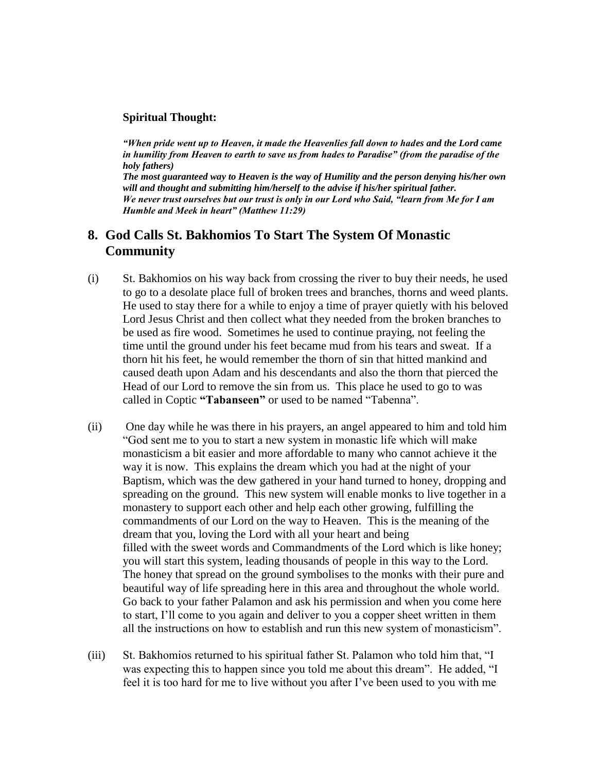#### **Spiritual Thought:**

*"When pride went up to Heaven, it made the Heavenlies fall down to hades and the Lord came in humility from Heaven to earth to save us from hades to Paradise" (from the paradise of the holy fathers)*

*The most guaranteed way to Heaven is the way of Humility and the person denying his/her own will and thought and submitting him/herself to the advise if his/her spiritual father. We never trust ourselves but our trust is only in our Lord who Said, "learn from Me for I am Humble and Meek in heart" (Matthew 11:29)*

### **8. God Calls St. Bakhomios To Start The System Of Monastic Community**

- (i) St. Bakhomios on his way back from crossing the river to buy their needs, he used to go to a desolate place full of broken trees and branches, thorns and weed plants. He used to stay there for a while to enjoy a time of prayer quietly with his beloved Lord Jesus Christ and then collect what they needed from the broken branches to be used as fire wood. Sometimes he used to continue praying, not feeling the time until the ground under his feet became mud from his tears and sweat. If a thorn hit his feet, he would remember the thorn of sin that hitted mankind and caused death upon Adam and his descendants and also the thorn that pierced the Head of our Lord to remove the sin from us. This place he used to go to was called in Coptic **"Tabanseen"** or used to be named "Tabenna".
- (ii) One day while he was there in his prayers, an angel appeared to him and told him "God sent me to you to start a new system in monastic life which will make monasticism a bit easier and more affordable to many who cannot achieve it the way it is now. This explains the dream which you had at the night of your Baptism, which was the dew gathered in your hand turned to honey, dropping and spreading on the ground. This new system will enable monks to live together in a monastery to support each other and help each other growing, fulfilling the commandments of our Lord on the way to Heaven. This is the meaning of the dream that you, loving the Lord with all your heart and being filled with the sweet words and Commandments of the Lord which is like honey; you will start this system, leading thousands of people in this way to the Lord. The honey that spread on the ground symbolises to the monks with their pure and beautiful way of life spreading here in this area and throughout the whole world. Go back to your father Palamon and ask his permission and when you come here to start, I"ll come to you again and deliver to you a copper sheet written in them all the instructions on how to establish and run this new system of monasticism".
- (iii) St. Bakhomios returned to his spiritual father St. Palamon who told him that, "I was expecting this to happen since you told me about this dream". He added, "I feel it is too hard for me to live without you after I"ve been used to you with me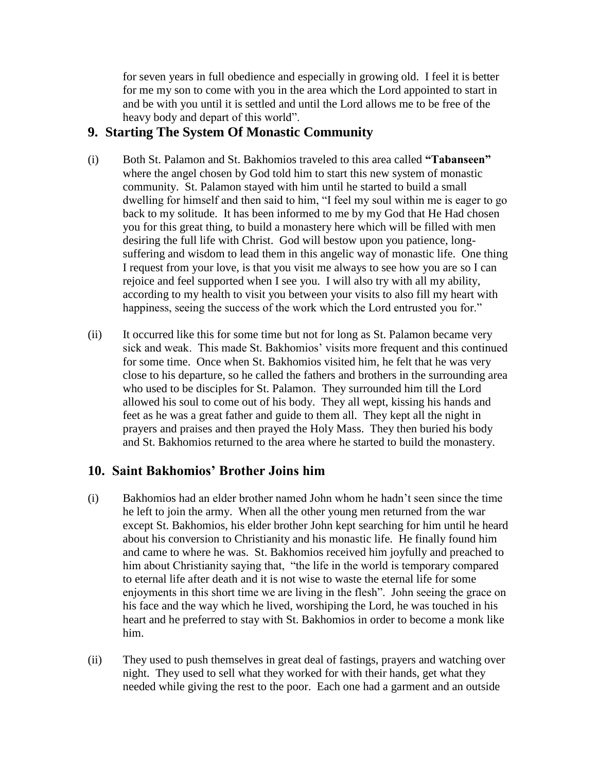for seven years in full obedience and especially in growing old. I feel it is better for me my son to come with you in the area which the Lord appointed to start in and be with you until it is settled and until the Lord allows me to be free of the heavy body and depart of this world".

### **9. Starting The System Of Monastic Community**

- (i) Both St. Palamon and St. Bakhomios traveled to this area called **"Tabanseen"** where the angel chosen by God told him to start this new system of monastic community. St. Palamon stayed with him until he started to build a small dwelling for himself and then said to him, "I feel my soul within me is eager to go back to my solitude. It has been informed to me by my God that He Had chosen you for this great thing, to build a monastery here which will be filled with men desiring the full life with Christ. God will bestow upon you patience, longsuffering and wisdom to lead them in this angelic way of monastic life. One thing I request from your love, is that you visit me always to see how you are so I can rejoice and feel supported when I see you. I will also try with all my ability, according to my health to visit you between your visits to also fill my heart with happiness, seeing the success of the work which the Lord entrusted you for."
- (ii) It occurred like this for some time but not for long as St. Palamon became very sick and weak. This made St. Bakhomios' visits more frequent and this continued for some time. Once when St. Bakhomios visited him, he felt that he was very close to his departure, so he called the fathers and brothers in the surrounding area who used to be disciples for St. Palamon. They surrounded him till the Lord allowed his soul to come out of his body. They all wept, kissing his hands and feet as he was a great father and guide to them all. They kept all the night in prayers and praises and then prayed the Holy Mass. They then buried his body and St. Bakhomios returned to the area where he started to build the monastery.

# **10. Saint Bakhomios" Brother Joins him**

- (i) Bakhomios had an elder brother named John whom he hadn"t seen since the time he left to join the army. When all the other young men returned from the war except St. Bakhomios, his elder brother John kept searching for him until he heard about his conversion to Christianity and his monastic life. He finally found him and came to where he was. St. Bakhomios received him joyfully and preached to him about Christianity saying that, "the life in the world is temporary compared to eternal life after death and it is not wise to waste the eternal life for some enjoyments in this short time we are living in the flesh". John seeing the grace on his face and the way which he lived, worshiping the Lord, he was touched in his heart and he preferred to stay with St. Bakhomios in order to become a monk like him.
- (ii) They used to push themselves in great deal of fastings, prayers and watching over night. They used to sell what they worked for with their hands, get what they needed while giving the rest to the poor. Each one had a garment and an outside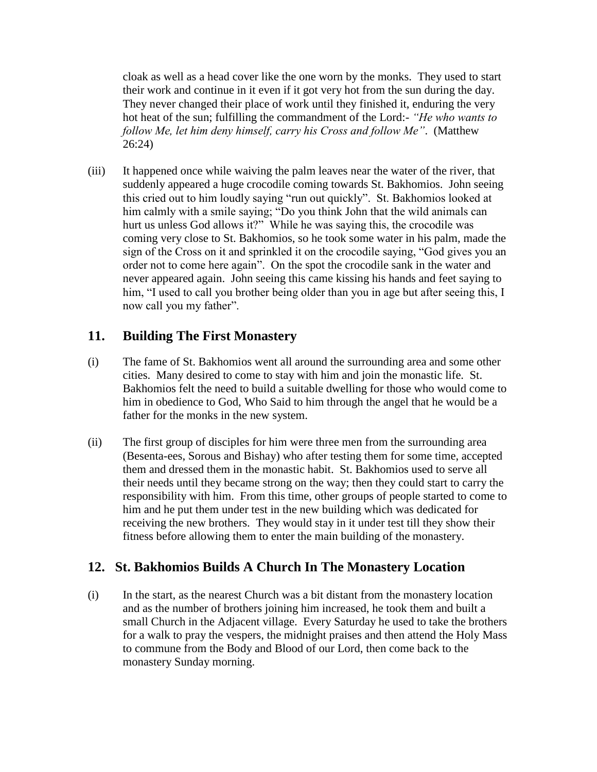cloak as well as a head cover like the one worn by the monks. They used to start their work and continue in it even if it got very hot from the sun during the day. They never changed their place of work until they finished it, enduring the very hot heat of the sun; fulfilling the commandment of the Lord:- *"He who wants to follow Me, let him deny himself, carry his Cross and follow Me"*. (Matthew 26:24)

(iii) It happened once while waiving the palm leaves near the water of the river, that suddenly appeared a huge crocodile coming towards St. Bakhomios. John seeing this cried out to him loudly saying "run out quickly". St. Bakhomios looked at him calmly with a smile saying; "Do you think John that the wild animals can hurt us unless God allows it?" While he was saying this, the crocodile was coming very close to St. Bakhomios, so he took some water in his palm, made the sign of the Cross on it and sprinkled it on the crocodile saying, "God gives you an order not to come here again". On the spot the crocodile sank in the water and never appeared again. John seeing this came kissing his hands and feet saying to him, "I used to call you brother being older than you in age but after seeing this, I now call you my father".

# **11. Building The First Monastery**

- (i) The fame of St. Bakhomios went all around the surrounding area and some other cities. Many desired to come to stay with him and join the monastic life. St. Bakhomios felt the need to build a suitable dwelling for those who would come to him in obedience to God, Who Said to him through the angel that he would be a father for the monks in the new system.
- (ii) The first group of disciples for him were three men from the surrounding area (Besenta-ees, Sorous and Bishay) who after testing them for some time, accepted them and dressed them in the monastic habit. St. Bakhomios used to serve all their needs until they became strong on the way; then they could start to carry the responsibility with him. From this time, other groups of people started to come to him and he put them under test in the new building which was dedicated for receiving the new brothers. They would stay in it under test till they show their fitness before allowing them to enter the main building of the monastery.

# **12. St. Bakhomios Builds A Church In The Monastery Location**

(i) In the start, as the nearest Church was a bit distant from the monastery location and as the number of brothers joining him increased, he took them and built a small Church in the Adjacent village. Every Saturday he used to take the brothers for a walk to pray the vespers, the midnight praises and then attend the Holy Mass to commune from the Body and Blood of our Lord, then come back to the monastery Sunday morning.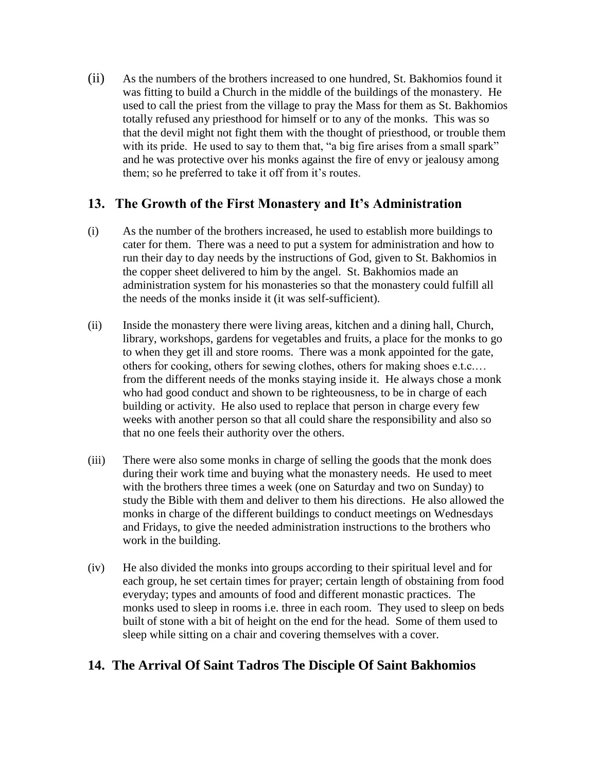(ii) As the numbers of the brothers increased to one hundred, St. Bakhomios found it was fitting to build a Church in the middle of the buildings of the monastery. He used to call the priest from the village to pray the Mass for them as St. Bakhomios totally refused any priesthood for himself or to any of the monks. This was so that the devil might not fight them with the thought of priesthood, or trouble them with its pride. He used to say to them that, "a big fire arises from a small spark" and he was protective over his monks against the fire of envy or jealousy among them; so he preferred to take it off from it's routes.

### **13. The Growth of the First Monastery and It"s Administration**

- (i) As the number of the brothers increased, he used to establish more buildings to cater for them. There was a need to put a system for administration and how to run their day to day needs by the instructions of God, given to St. Bakhomios in the copper sheet delivered to him by the angel. St. Bakhomios made an administration system for his monasteries so that the monastery could fulfill all the needs of the monks inside it (it was self-sufficient).
- (ii) Inside the monastery there were living areas, kitchen and a dining hall, Church, library, workshops, gardens for vegetables and fruits, a place for the monks to go to when they get ill and store rooms. There was a monk appointed for the gate, others for cooking, others for sewing clothes, others for making shoes e.t.c.… from the different needs of the monks staying inside it. He always chose a monk who had good conduct and shown to be righteousness, to be in charge of each building or activity. He also used to replace that person in charge every few weeks with another person so that all could share the responsibility and also so that no one feels their authority over the others.
- (iii) There were also some monks in charge of selling the goods that the monk does during their work time and buying what the monastery needs. He used to meet with the brothers three times a week (one on Saturday and two on Sunday) to study the Bible with them and deliver to them his directions. He also allowed the monks in charge of the different buildings to conduct meetings on Wednesdays and Fridays, to give the needed administration instructions to the brothers who work in the building.
- (iv) He also divided the monks into groups according to their spiritual level and for each group, he set certain times for prayer; certain length of obstaining from food everyday; types and amounts of food and different monastic practices. The monks used to sleep in rooms i.e. three in each room. They used to sleep on beds built of stone with a bit of height on the end for the head. Some of them used to sleep while sitting on a chair and covering themselves with a cover.

# **14. The Arrival Of Saint Tadros The Disciple Of Saint Bakhomios**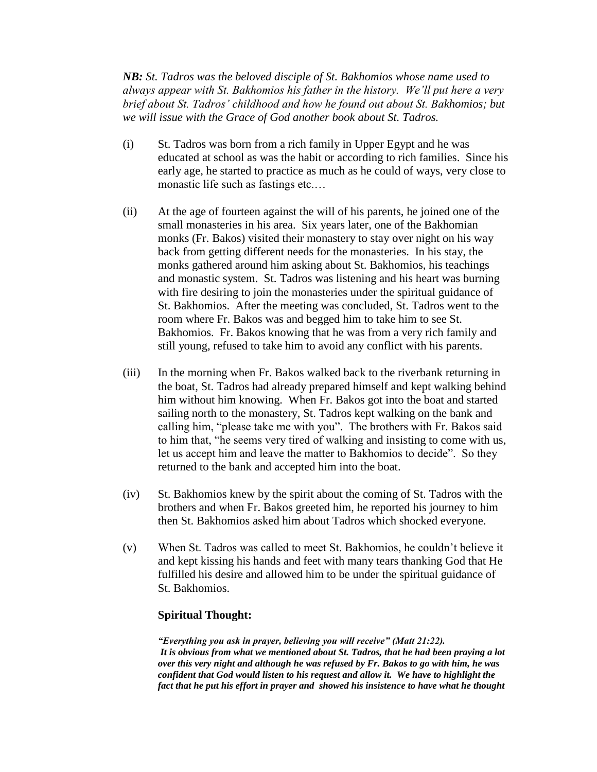*NB: St. Tadros was the beloved disciple of St. Bakhomios whose name used to always appear with St. Bakhomios his father in the history. We'll put here a very brief about St. Tadros' childhood and how he found out about St. Bakhomios; but we will issue with the Grace of God another book about St. Tadros.*

- (i) St. Tadros was born from a rich family in Upper Egypt and he was educated at school as was the habit or according to rich families. Since his early age, he started to practice as much as he could of ways, very close to monastic life such as fastings etc.…
- (ii) At the age of fourteen against the will of his parents, he joined one of the small monasteries in his area. Six years later, one of the Bakhomian monks (Fr. Bakos) visited their monastery to stay over night on his way back from getting different needs for the monasteries. In his stay, the monks gathered around him asking about St. Bakhomios, his teachings and monastic system. St. Tadros was listening and his heart was burning with fire desiring to join the monasteries under the spiritual guidance of St. Bakhomios. After the meeting was concluded, St. Tadros went to the room where Fr. Bakos was and begged him to take him to see St. Bakhomios. Fr. Bakos knowing that he was from a very rich family and still young, refused to take him to avoid any conflict with his parents.
- (iii) In the morning when Fr. Bakos walked back to the riverbank returning in the boat, St. Tadros had already prepared himself and kept walking behind him without him knowing. When Fr. Bakos got into the boat and started sailing north to the monastery, St. Tadros kept walking on the bank and calling him, "please take me with you". The brothers with Fr. Bakos said to him that, "he seems very tired of walking and insisting to come with us, let us accept him and leave the matter to Bakhomios to decide". So they returned to the bank and accepted him into the boat.
- (iv) St. Bakhomios knew by the spirit about the coming of St. Tadros with the brothers and when Fr. Bakos greeted him, he reported his journey to him then St. Bakhomios asked him about Tadros which shocked everyone.
- (v) When St. Tadros was called to meet St. Bakhomios, he couldn"t believe it and kept kissing his hands and feet with many tears thanking God that He fulfilled his desire and allowed him to be under the spiritual guidance of St. Bakhomios.

#### **Spiritual Thought:**

*"Everything you ask in prayer, believing you will receive" (Matt 21:22). It is obvious from what we mentioned about St. Tadros, that he had been praying a lot over this very night and although he was refused by Fr. Bakos to go with him, he was confident that God would listen to his request and allow it. We have to highlight the fact that he put his effort in prayer and showed his insistence to have what he thought*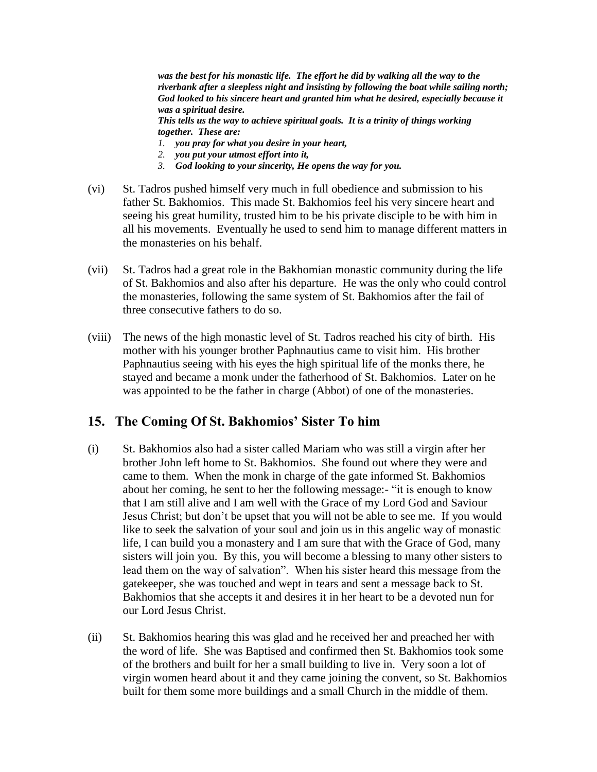was the best for his monastic life. The effort he did by walking all the way to the *riverbank after a sleepless night and insisting by following the boat while sailing north; God looked to his sincere heart and granted him what he desired, especially because it was a spiritual desire.*

*This tells us the way to achieve spiritual goals. It is a trinity of things working together. These are:* 

- *1. you pray for what you desire in your heart,*
- *2. you put your utmost effort into it,*
- *3. God looking to your sincerity, He opens the way for you.*
- (vi) St. Tadros pushed himself very much in full obedience and submission to his father St. Bakhomios. This made St. Bakhomios feel his very sincere heart and seeing his great humility, trusted him to be his private disciple to be with him in all his movements. Eventually he used to send him to manage different matters in the monasteries on his behalf.
- (vii) St. Tadros had a great role in the Bakhomian monastic community during the life of St. Bakhomios and also after his departure. He was the only who could control the monasteries, following the same system of St. Bakhomios after the fail of three consecutive fathers to do so.
- (viii) The news of the high monastic level of St. Tadros reached his city of birth. His mother with his younger brother Paphnautius came to visit him. His brother Paphnautius seeing with his eyes the high spiritual life of the monks there, he stayed and became a monk under the fatherhood of St. Bakhomios. Later on he was appointed to be the father in charge (Abbot) of one of the monasteries.

### **15. The Coming Of St. Bakhomios" Sister To him**

- (i) St. Bakhomios also had a sister called Mariam who was still a virgin after her brother John left home to St. Bakhomios. She found out where they were and came to them. When the monk in charge of the gate informed St. Bakhomios about her coming, he sent to her the following message:- "it is enough to know that I am still alive and I am well with the Grace of my Lord God and Saviour Jesus Christ; but don"t be upset that you will not be able to see me. If you would like to seek the salvation of your soul and join us in this angelic way of monastic life, I can build you a monastery and I am sure that with the Grace of God, many sisters will join you. By this, you will become a blessing to many other sisters to lead them on the way of salvation". When his sister heard this message from the gatekeeper, she was touched and wept in tears and sent a message back to St. Bakhomios that she accepts it and desires it in her heart to be a devoted nun for our Lord Jesus Christ.
- (ii) St. Bakhomios hearing this was glad and he received her and preached her with the word of life. She was Baptised and confirmed then St. Bakhomios took some of the brothers and built for her a small building to live in. Very soon a lot of virgin women heard about it and they came joining the convent, so St. Bakhomios built for them some more buildings and a small Church in the middle of them.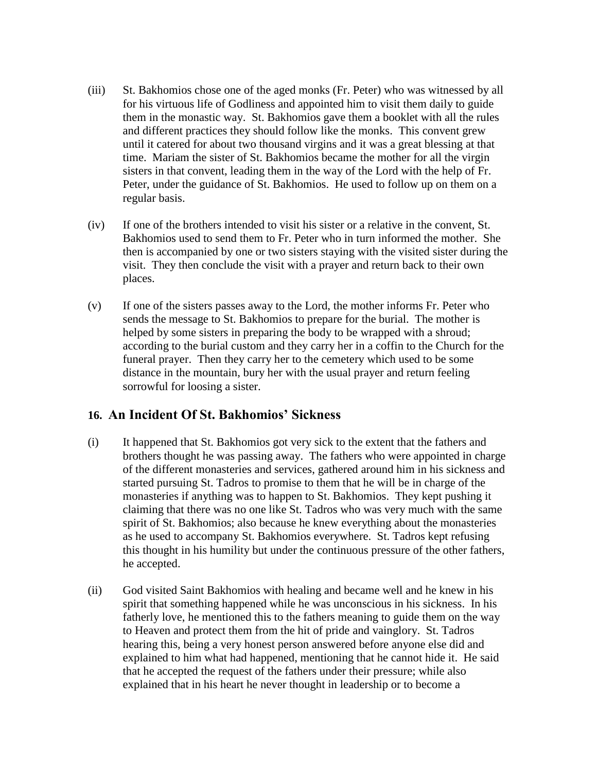- (iii) St. Bakhomios chose one of the aged monks (Fr. Peter) who was witnessed by all for his virtuous life of Godliness and appointed him to visit them daily to guide them in the monastic way. St. Bakhomios gave them a booklet with all the rules and different practices they should follow like the monks. This convent grew until it catered for about two thousand virgins and it was a great blessing at that time. Mariam the sister of St. Bakhomios became the mother for all the virgin sisters in that convent, leading them in the way of the Lord with the help of Fr. Peter, under the guidance of St. Bakhomios. He used to follow up on them on a regular basis.
- (iv) If one of the brothers intended to visit his sister or a relative in the convent, St. Bakhomios used to send them to Fr. Peter who in turn informed the mother. She then is accompanied by one or two sisters staying with the visited sister during the visit. They then conclude the visit with a prayer and return back to their own places.
- (v) If one of the sisters passes away to the Lord, the mother informs Fr. Peter who sends the message to St. Bakhomios to prepare for the burial. The mother is helped by some sisters in preparing the body to be wrapped with a shroud; according to the burial custom and they carry her in a coffin to the Church for the funeral prayer. Then they carry her to the cemetery which used to be some distance in the mountain, bury her with the usual prayer and return feeling sorrowful for loosing a sister.

# **16. An Incident Of St. Bakhomios" Sickness**

- (i) It happened that St. Bakhomios got very sick to the extent that the fathers and brothers thought he was passing away. The fathers who were appointed in charge of the different monasteries and services, gathered around him in his sickness and started pursuing St. Tadros to promise to them that he will be in charge of the monasteries if anything was to happen to St. Bakhomios. They kept pushing it claiming that there was no one like St. Tadros who was very much with the same spirit of St. Bakhomios; also because he knew everything about the monasteries as he used to accompany St. Bakhomios everywhere. St. Tadros kept refusing this thought in his humility but under the continuous pressure of the other fathers, he accepted.
- (ii) God visited Saint Bakhomios with healing and became well and he knew in his spirit that something happened while he was unconscious in his sickness. In his fatherly love, he mentioned this to the fathers meaning to guide them on the way to Heaven and protect them from the hit of pride and vainglory. St. Tadros hearing this, being a very honest person answered before anyone else did and explained to him what had happened, mentioning that he cannot hide it. He said that he accepted the request of the fathers under their pressure; while also explained that in his heart he never thought in leadership or to become a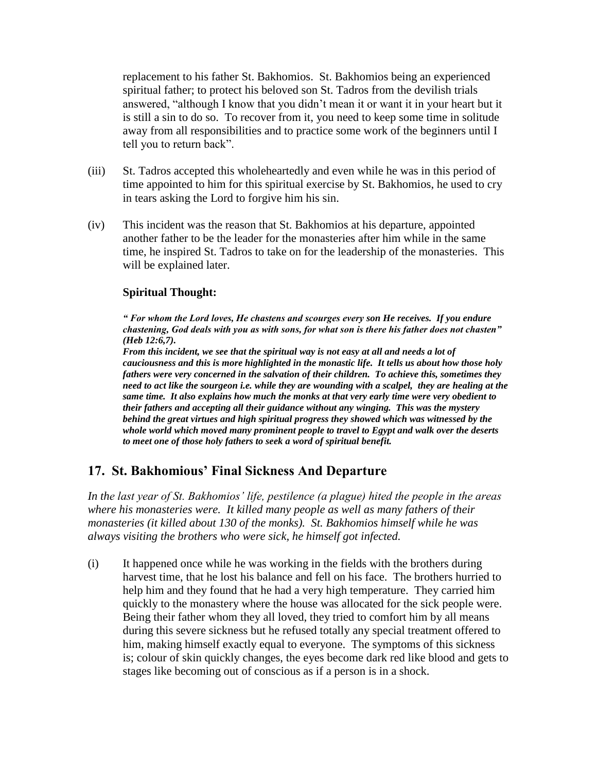replacement to his father St. Bakhomios. St. Bakhomios being an experienced spiritual father; to protect his beloved son St. Tadros from the devilish trials answered, "although I know that you didn"t mean it or want it in your heart but it is still a sin to do so. To recover from it, you need to keep some time in solitude away from all responsibilities and to practice some work of the beginners until I tell you to return back".

- (iii) St. Tadros accepted this wholeheartedly and even while he was in this period of time appointed to him for this spiritual exercise by St. Bakhomios, he used to cry in tears asking the Lord to forgive him his sin.
- (iv) This incident was the reason that St. Bakhomios at his departure, appointed another father to be the leader for the monasteries after him while in the same time, he inspired St. Tadros to take on for the leadership of the monasteries. This will be explained later.

### **Spiritual Thought:**

*" For whom the Lord loves, He chastens and scourges every son He receives. If you endure chastening, God deals with you as with sons, for what son is there his father does not chasten" (Heb 12:6,7).* 

*From this incident, we see that the spiritual way is not easy at all and needs a lot of cauciousness and this is more highlighted in the monastic life. It tells us about how those holy fathers were very concerned in the salvation of their children. To achieve this, sometimes they need to act like the sourgeon i.e. while they are wounding with a scalpel, they are healing at the same time. It also explains how much the monks at that very early time were very obedient to their fathers and accepting all their guidance without any winging. This was the mystery behind the great virtues and high spiritual progress they showed which was witnessed by the whole world which moved many prominent people to travel to Egypt and walk over the deserts to meet one of those holy fathers to seek a word of spiritual benefit.*

# **17. St. Bakhomious" Final Sickness And Departure**

*In the last year of St. Bakhomios' life, pestilence (a plague) hited the people in the areas where his monasteries were. It killed many people as well as many fathers of their monasteries (it killed about 130 of the monks). St. Bakhomios himself while he was always visiting the brothers who were sick, he himself got infected.*

(i) It happened once while he was working in the fields with the brothers during harvest time, that he lost his balance and fell on his face. The brothers hurried to help him and they found that he had a very high temperature. They carried him quickly to the monastery where the house was allocated for the sick people were. Being their father whom they all loved, they tried to comfort him by all means during this severe sickness but he refused totally any special treatment offered to him, making himself exactly equal to everyone. The symptoms of this sickness is; colour of skin quickly changes, the eyes become dark red like blood and gets to stages like becoming out of conscious as if a person is in a shock.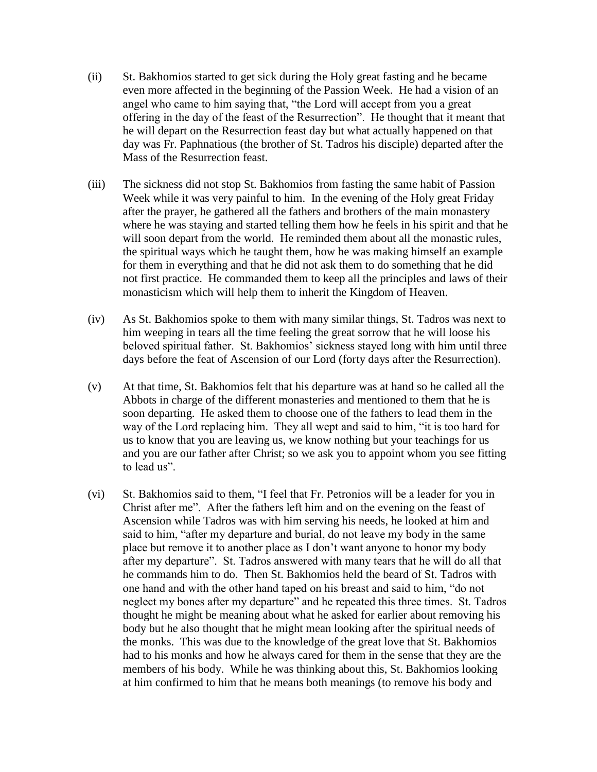- (ii) St. Bakhomios started to get sick during the Holy great fasting and he became even more affected in the beginning of the Passion Week. He had a vision of an angel who came to him saying that, "the Lord will accept from you a great offering in the day of the feast of the Resurrection". He thought that it meant that he will depart on the Resurrection feast day but what actually happened on that day was Fr. Paphnatious (the brother of St. Tadros his disciple) departed after the Mass of the Resurrection feast.
- (iii) The sickness did not stop St. Bakhomios from fasting the same habit of Passion Week while it was very painful to him. In the evening of the Holy great Friday after the prayer, he gathered all the fathers and brothers of the main monastery where he was staying and started telling them how he feels in his spirit and that he will soon depart from the world. He reminded them about all the monastic rules, the spiritual ways which he taught them, how he was making himself an example for them in everything and that he did not ask them to do something that he did not first practice. He commanded them to keep all the principles and laws of their monasticism which will help them to inherit the Kingdom of Heaven.
- (iv) As St. Bakhomios spoke to them with many similar things, St. Tadros was next to him weeping in tears all the time feeling the great sorrow that he will loose his beloved spiritual father. St. Bakhomios' sickness stayed long with him until three days before the feat of Ascension of our Lord (forty days after the Resurrection).
- (v) At that time, St. Bakhomios felt that his departure was at hand so he called all the Abbots in charge of the different monasteries and mentioned to them that he is soon departing. He asked them to choose one of the fathers to lead them in the way of the Lord replacing him. They all wept and said to him, "it is too hard for us to know that you are leaving us, we know nothing but your teachings for us and you are our father after Christ; so we ask you to appoint whom you see fitting to lead us".
- (vi) St. Bakhomios said to them, "I feel that Fr. Petronios will be a leader for you in Christ after me". After the fathers left him and on the evening on the feast of Ascension while Tadros was with him serving his needs, he looked at him and said to him, "after my departure and burial, do not leave my body in the same place but remove it to another place as I don"t want anyone to honor my body after my departure". St. Tadros answered with many tears that he will do all that he commands him to do. Then St. Bakhomios held the beard of St. Tadros with one hand and with the other hand taped on his breast and said to him, "do not neglect my bones after my departure" and he repeated this three times. St. Tadros thought he might be meaning about what he asked for earlier about removing his body but he also thought that he might mean looking after the spiritual needs of the monks. This was due to the knowledge of the great love that St. Bakhomios had to his monks and how he always cared for them in the sense that they are the members of his body. While he was thinking about this, St. Bakhomios looking at him confirmed to him that he means both meanings (to remove his body and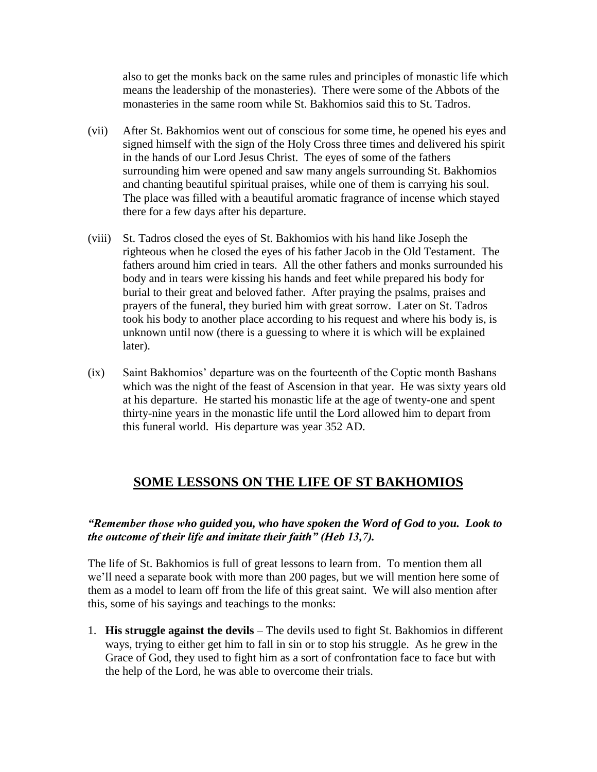also to get the monks back on the same rules and principles of monastic life which means the leadership of the monasteries). There were some of the Abbots of the monasteries in the same room while St. Bakhomios said this to St. Tadros.

- (vii) After St. Bakhomios went out of conscious for some time, he opened his eyes and signed himself with the sign of the Holy Cross three times and delivered his spirit in the hands of our Lord Jesus Christ. The eyes of some of the fathers surrounding him were opened and saw many angels surrounding St. Bakhomios and chanting beautiful spiritual praises, while one of them is carrying his soul. The place was filled with a beautiful aromatic fragrance of incense which stayed there for a few days after his departure.
- (viii) St. Tadros closed the eyes of St. Bakhomios with his hand like Joseph the righteous when he closed the eyes of his father Jacob in the Old Testament. The fathers around him cried in tears. All the other fathers and monks surrounded his body and in tears were kissing his hands and feet while prepared his body for burial to their great and beloved father. After praying the psalms, praises and prayers of the funeral, they buried him with great sorrow. Later on St. Tadros took his body to another place according to his request and where his body is, is unknown until now (there is a guessing to where it is which will be explained later).
- (ix) Saint Bakhomios" departure was on the fourteenth of the Coptic month Bashans which was the night of the feast of Ascension in that year. He was sixty years old at his departure. He started his monastic life at the age of twenty-one and spent thirty-nine years in the monastic life until the Lord allowed him to depart from this funeral world. His departure was year 352 AD.

# **SOME LESSONS ON THE LIFE OF ST BAKHOMIOS**

### *"Remember those who guided you, who have spoken the Word of God to you. Look to the outcome of their life and imitate their faith" (Heb 13,7).*

The life of St. Bakhomios is full of great lessons to learn from. To mention them all we"ll need a separate book with more than 200 pages, but we will mention here some of them as a model to learn off from the life of this great saint. We will also mention after this, some of his sayings and teachings to the monks:

1. **His struggle against the devils** – The devils used to fight St. Bakhomios in different ways, trying to either get him to fall in sin or to stop his struggle. As he grew in the Grace of God, they used to fight him as a sort of confrontation face to face but with the help of the Lord, he was able to overcome their trials.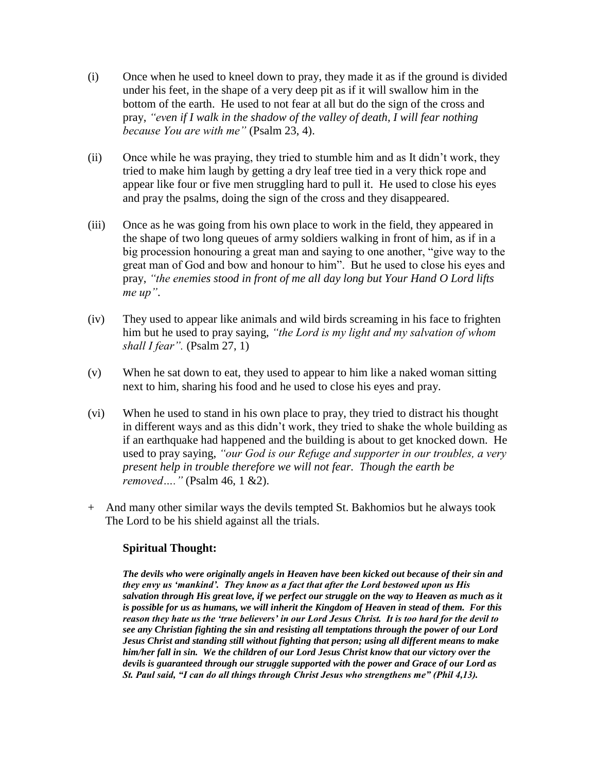- (i) Once when he used to kneel down to pray, they made it as if the ground is divided under his feet, in the shape of a very deep pit as if it will swallow him in the bottom of the earth. He used to not fear at all but do the sign of the cross and pray, *"even if I walk in the shadow of the valley of death, I will fear nothing because You are with me"* (Psalm 23, 4).
- (ii) Once while he was praying, they tried to stumble him and as It didn"t work, they tried to make him laugh by getting a dry leaf tree tied in a very thick rope and appear like four or five men struggling hard to pull it. He used to close his eyes and pray the psalms, doing the sign of the cross and they disappeared.
- (iii) Once as he was going from his own place to work in the field, they appeared in the shape of two long queues of army soldiers walking in front of him, as if in a big procession honouring a great man and saying to one another, "give way to the great man of God and bow and honour to him". But he used to close his eyes and pray, *"the enemies stood in front of me all day long but Your Hand O Lord lifts me up"*.
- (iv) They used to appear like animals and wild birds screaming in his face to frighten him but he used to pray saying, *"the Lord is my light and my salvation of whom shall I fear".* (Psalm 27, 1)
- (v) When he sat down to eat, they used to appear to him like a naked woman sitting next to him, sharing his food and he used to close his eyes and pray.
- (vi) When he used to stand in his own place to pray, they tried to distract his thought in different ways and as this didn"t work, they tried to shake the whole building as if an earthquake had happened and the building is about to get knocked down. He used to pray saying, *"our God is our Refuge and supporter in our troubles, a very present help in trouble therefore we will not fear. Though the earth be removed…."* (Psalm 46, 1 &2).
- + And many other similar ways the devils tempted St. Bakhomios but he always took The Lord to be his shield against all the trials.

### **Spiritual Thought:**

*The devils who were originally angels in Heaven have been kicked out because of their sin and they envy us "mankind". They know as a fact that after the Lord bestowed upon us His salvation through His great love, if we perfect our struggle on the way to Heaven as much as it is possible for us as humans, we will inherit the Kingdom of Heaven in stead of them. For this reason they hate us the "true believers" in our Lord Jesus Christ. It is too hard for the devil to see any Christian fighting the sin and resisting all temptations through the power of our Lord Jesus Christ and standing still without fighting that person; using all different means to make him/her fall in sin. We the children of our Lord Jesus Christ know that our victory over the devils is guaranteed through our struggle supported with the power and Grace of our Lord as St. Paul said, "I can do all things through Christ Jesus who strengthens me" (Phil 4,13).*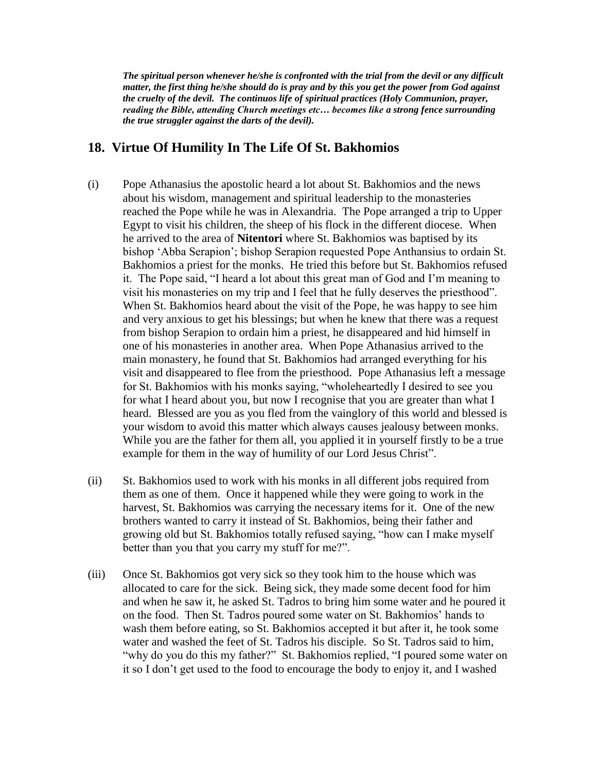*The spiritual person whenever he/she is confronted with the trial from the devil or any difficult matter, the first thing he/she should do is pray and by this you get the power from God against the cruelty of the devil. The continuos life of spiritual practices (Holy Communion, prayer, reading the Bible, attending Church meetings etc… becomes like a strong fence surrounding the true struggler against the darts of the devil).*

### **18. Virtue Of Humility In The Life Of St. Bakhomios**

- (i) Pope Athanasius the apostolic heard a lot about St. Bakhomios and the news about his wisdom, management and spiritual leadership to the monasteries reached the Pope while he was in Alexandria. The Pope arranged a trip to Upper Egypt to visit his children, the sheep of his flock in the different diocese. When he arrived to the area of **Nitentori** where St. Bakhomios was baptised by its bishop "Abba Serapion"; bishop Serapion requested Pope Anthansius to ordain St. Bakhomios a priest for the monks. He tried this before but St. Bakhomios refused it. The Pope said, "I heard a lot about this great man of God and I"m meaning to visit his monasteries on my trip and I feel that he fully deserves the priesthood". When St. Bakhomios heard about the visit of the Pope, he was happy to see him and very anxious to get his blessings; but when he knew that there was a request from bishop Serapion to ordain him a priest, he disappeared and hid himself in one of his monasteries in another area. When Pope Athanasius arrived to the main monastery, he found that St. Bakhomios had arranged everything for his visit and disappeared to flee from the priesthood. Pope Athanasius left a message for St. Bakhomios with his monks saying, "wholeheartedly I desired to see you for what I heard about you, but now I recognise that you are greater than what I heard. Blessed are you as you fled from the vainglory of this world and blessed is your wisdom to avoid this matter which always causes jealousy between monks. While you are the father for them all, you applied it in yourself firstly to be a true example for them in the way of humility of our Lord Jesus Christ".
- (ii) St. Bakhomios used to work with his monks in all different jobs required from them as one of them. Once it happened while they were going to work in the harvest, St. Bakhomios was carrying the necessary items for it. One of the new brothers wanted to carry it instead of St. Bakhomios, being their father and growing old but St. Bakhomios totally refused saying, "how can I make myself better than you that you carry my stuff for me?".
- (iii) Once St. Bakhomios got very sick so they took him to the house which was allocated to care for the sick. Being sick, they made some decent food for him and when he saw it, he asked St. Tadros to bring him some water and he poured it on the food. Then St. Tadros poured some water on St. Bakhomios" hands to wash them before eating, so St. Bakhomios accepted it but after it, he took some water and washed the feet of St. Tadros his disciple. So St. Tadros said to him, "why do you do this my father?" St. Bakhomios replied, "I poured some water on it so I don"t get used to the food to encourage the body to enjoy it, and I washed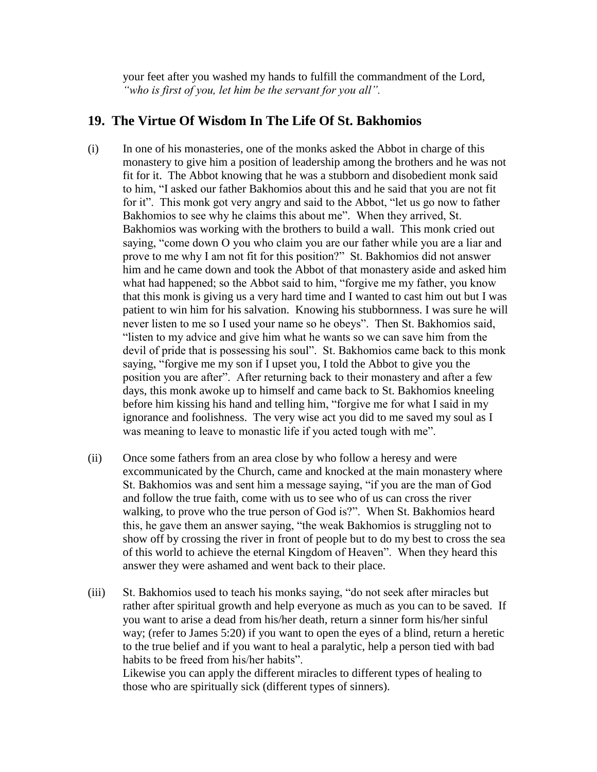your feet after you washed my hands to fulfill the commandment of the Lord, *"who is first of you, let him be the servant for you all".*

### **19. The Virtue Of Wisdom In The Life Of St. Bakhomios**

- (i) In one of his monasteries, one of the monks asked the Abbot in charge of this monastery to give him a position of leadership among the brothers and he was not fit for it. The Abbot knowing that he was a stubborn and disobedient monk said to him, "I asked our father Bakhomios about this and he said that you are not fit for it". This monk got very angry and said to the Abbot, "let us go now to father Bakhomios to see why he claims this about me". When they arrived, St. Bakhomios was working with the brothers to build a wall. This monk cried out saying, "come down O you who claim you are our father while you are a liar and prove to me why I am not fit for this position?" St. Bakhomios did not answer him and he came down and took the Abbot of that monastery aside and asked him what had happened; so the Abbot said to him, "forgive me my father, you know that this monk is giving us a very hard time and I wanted to cast him out but I was patient to win him for his salvation. Knowing his stubbornness. I was sure he will never listen to me so I used your name so he obeys". Then St. Bakhomios said, "listen to my advice and give him what he wants so we can save him from the devil of pride that is possessing his soul". St. Bakhomios came back to this monk saying, "forgive me my son if I upset you, I told the Abbot to give you the position you are after". After returning back to their monastery and after a few days, this monk awoke up to himself and came back to St. Bakhomios kneeling before him kissing his hand and telling him, "forgive me for what I said in my ignorance and foolishness. The very wise act you did to me saved my soul as I was meaning to leave to monastic life if you acted tough with me".
- (ii) Once some fathers from an area close by who follow a heresy and were excommunicated by the Church, came and knocked at the main monastery where St. Bakhomios was and sent him a message saying, "if you are the man of God and follow the true faith, come with us to see who of us can cross the river walking, to prove who the true person of God is?". When St. Bakhomios heard this, he gave them an answer saying, "the weak Bakhomios is struggling not to show off by crossing the river in front of people but to do my best to cross the sea of this world to achieve the eternal Kingdom of Heaven". When they heard this answer they were ashamed and went back to their place.
- (iii) St. Bakhomios used to teach his monks saying, "do not seek after miracles but rather after spiritual growth and help everyone as much as you can to be saved. If you want to arise a dead from his/her death, return a sinner form his/her sinful way; (refer to James 5:20) if you want to open the eyes of a blind, return a heretic to the true belief and if you want to heal a paralytic, help a person tied with bad habits to be freed from his/her habits". Likewise you can apply the different miracles to different types of healing to those who are spiritually sick (different types of sinners).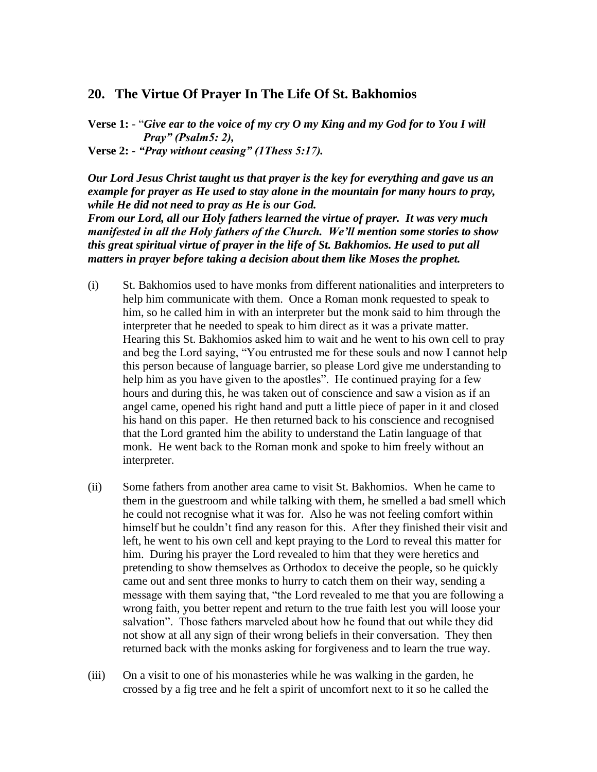#### **20. The Virtue Of Prayer In The Life Of St. Bakhomios**

**Verse 1:** - "*Give ear to the voice of my cry O my King and my God for to You I will Pray" (Psalm5: 2),* **Verse 2:** *- "Pray without ceasing" (1Thess 5:17).*

*Our Lord Jesus Christ taught us that prayer is the key for everything and gave us an example for prayer as He used to stay alone in the mountain for many hours to pray, while He did not need to pray as He is our God.*

*From our Lord, all our Holy fathers learned the virtue of prayer. It was very much manifested in all the Holy fathers of the Church. We"ll mention some stories to show this great spiritual virtue of prayer in the life of St. Bakhomios. He used to put all matters in prayer before taking a decision about them like Moses the prophet.*

- (i) St. Bakhomios used to have monks from different nationalities and interpreters to help him communicate with them. Once a Roman monk requested to speak to him, so he called him in with an interpreter but the monk said to him through the interpreter that he needed to speak to him direct as it was a private matter. Hearing this St. Bakhomios asked him to wait and he went to his own cell to pray and beg the Lord saying, "You entrusted me for these souls and now I cannot help this person because of language barrier, so please Lord give me understanding to help him as you have given to the apostles". He continued praying for a few hours and during this, he was taken out of conscience and saw a vision as if an angel came, opened his right hand and putt a little piece of paper in it and closed his hand on this paper. He then returned back to his conscience and recognised that the Lord granted him the ability to understand the Latin language of that monk. He went back to the Roman monk and spoke to him freely without an interpreter.
- (ii) Some fathers from another area came to visit St. Bakhomios. When he came to them in the guestroom and while talking with them, he smelled a bad smell which he could not recognise what it was for. Also he was not feeling comfort within himself but he couldn"t find any reason for this. After they finished their visit and left, he went to his own cell and kept praying to the Lord to reveal this matter for him. During his prayer the Lord revealed to him that they were heretics and pretending to show themselves as Orthodox to deceive the people, so he quickly came out and sent three monks to hurry to catch them on their way, sending a message with them saying that, "the Lord revealed to me that you are following a wrong faith, you better repent and return to the true faith lest you will loose your salvation". Those fathers marveled about how he found that out while they did not show at all any sign of their wrong beliefs in their conversation. They then returned back with the monks asking for forgiveness and to learn the true way.
- (iii) On a visit to one of his monasteries while he was walking in the garden, he crossed by a fig tree and he felt a spirit of uncomfort next to it so he called the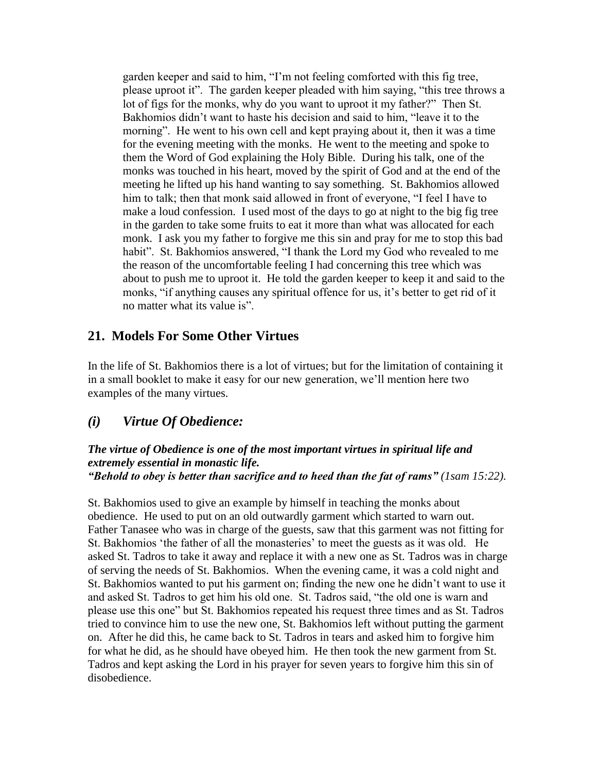garden keeper and said to him, "I"m not feeling comforted with this fig tree, please uproot it". The garden keeper pleaded with him saying, "this tree throws a lot of figs for the monks, why do you want to uproot it my father?" Then St. Bakhomios didn"t want to haste his decision and said to him, "leave it to the morning". He went to his own cell and kept praying about it, then it was a time for the evening meeting with the monks. He went to the meeting and spoke to them the Word of God explaining the Holy Bible. During his talk, one of the monks was touched in his heart, moved by the spirit of God and at the end of the meeting he lifted up his hand wanting to say something. St. Bakhomios allowed him to talk; then that monk said allowed in front of everyone, "I feel I have to make a loud confession. I used most of the days to go at night to the big fig tree in the garden to take some fruits to eat it more than what was allocated for each monk. I ask you my father to forgive me this sin and pray for me to stop this bad habit". St. Bakhomios answered, "I thank the Lord my God who revealed to me the reason of the uncomfortable feeling I had concerning this tree which was about to push me to uproot it. He told the garden keeper to keep it and said to the monks, "if anything causes any spiritual offence for us, it's better to get rid of it no matter what its value is".

### **21. Models For Some Other Virtues**

In the life of St. Bakhomios there is a lot of virtues; but for the limitation of containing it in a small booklet to make it easy for our new generation, we"ll mention here two examples of the many virtues.

# *(i) Virtue Of Obedience:*

#### *The virtue of Obedience is one of the most important virtues in spiritual life and extremely essential in monastic life. "Behold to obey is better than sacrifice and to heed than the fat of rams" (1sam 15:22).*

St. Bakhomios used to give an example by himself in teaching the monks about obedience. He used to put on an old outwardly garment which started to warn out. Father Tanasee who was in charge of the guests, saw that this garment was not fitting for St. Bakhomios 'the father of all the monasteries' to meet the guests as it was old. He asked St. Tadros to take it away and replace it with a new one as St. Tadros was in charge of serving the needs of St. Bakhomios. When the evening came, it was a cold night and St. Bakhomios wanted to put his garment on; finding the new one he didn"t want to use it and asked St. Tadros to get him his old one. St. Tadros said, "the old one is warn and please use this one" but St. Bakhomios repeated his request three times and as St. Tadros tried to convince him to use the new one, St. Bakhomios left without putting the garment on. After he did this, he came back to St. Tadros in tears and asked him to forgive him for what he did, as he should have obeyed him. He then took the new garment from St. Tadros and kept asking the Lord in his prayer for seven years to forgive him this sin of disobedience.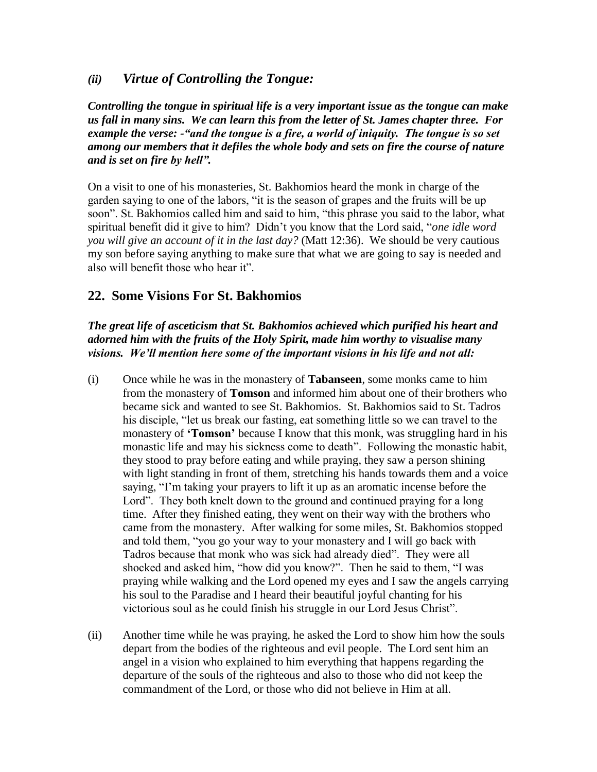### *(ii) Virtue of Controlling the Tongue:*

*Controlling the tongue in spiritual life is a very important issue as the tongue can make us fall in many sins. We can learn this from the letter of St. James chapter three. For example the verse: -"and the tongue is a fire, a world of iniquity. The tongue is so set among our members that it defiles the whole body and sets on fire the course of nature and is set on fire by hell".*

On a visit to one of his monasteries, St. Bakhomios heard the monk in charge of the garden saying to one of the labors, "it is the season of grapes and the fruits will be up soon". St. Bakhomios called him and said to him, "this phrase you said to the labor, what spiritual benefit did it give to him? Didn"t you know that the Lord said, "*one idle word you will give an account of it in the last day?* (Matt 12:36). We should be very cautious my son before saying anything to make sure that what we are going to say is needed and also will benefit those who hear it".

### **22. Some Visions For St. Bakhomios**

*The great life of asceticism that St. Bakhomios achieved which purified his heart and adorned him with the fruits of the Holy Spirit, made him worthy to visualise many visions. We"ll mention here some of the important visions in his life and not all:*

- (i) Once while he was in the monastery of **Tabanseen**, some monks came to him from the monastery of **Tomson** and informed him about one of their brothers who became sick and wanted to see St. Bakhomios. St. Bakhomios said to St. Tadros his disciple, "let us break our fasting, eat something little so we can travel to the monastery of **"Tomson"** because I know that this monk, was struggling hard in his monastic life and may his sickness come to death". Following the monastic habit, they stood to pray before eating and while praying, they saw a person shining with light standing in front of them, stretching his hands towards them and a voice saying, "I"m taking your prayers to lift it up as an aromatic incense before the Lord". They both knelt down to the ground and continued praying for a long time. After they finished eating, they went on their way with the brothers who came from the monastery. After walking for some miles, St. Bakhomios stopped and told them, "you go your way to your monastery and I will go back with Tadros because that monk who was sick had already died". They were all shocked and asked him, "how did you know?". Then he said to them, "I was praying while walking and the Lord opened my eyes and I saw the angels carrying his soul to the Paradise and I heard their beautiful joyful chanting for his victorious soul as he could finish his struggle in our Lord Jesus Christ".
- (ii) Another time while he was praying, he asked the Lord to show him how the souls depart from the bodies of the righteous and evil people. The Lord sent him an angel in a vision who explained to him everything that happens regarding the departure of the souls of the righteous and also to those who did not keep the commandment of the Lord, or those who did not believe in Him at all.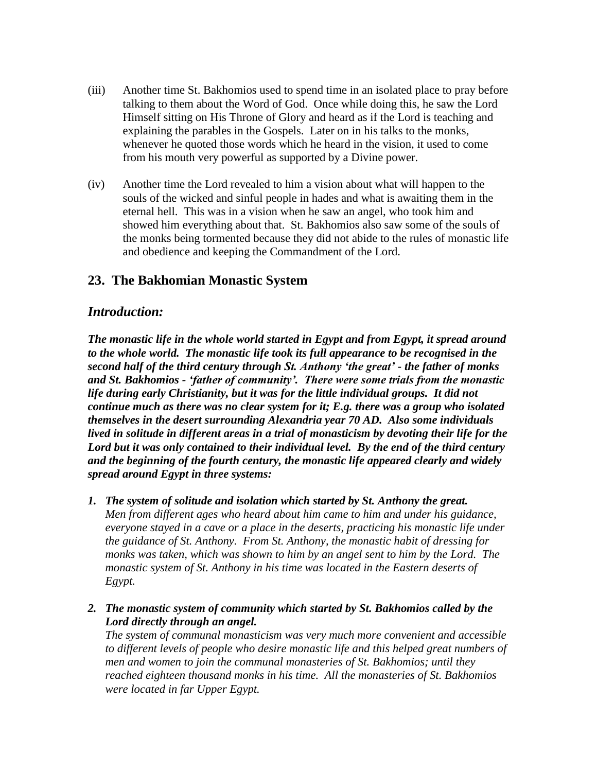- (iii) Another time St. Bakhomios used to spend time in an isolated place to pray before talking to them about the Word of God. Once while doing this, he saw the Lord Himself sitting on His Throne of Glory and heard as if the Lord is teaching and explaining the parables in the Gospels. Later on in his talks to the monks, whenever he quoted those words which he heard in the vision, it used to come from his mouth very powerful as supported by a Divine power.
- (iv) Another time the Lord revealed to him a vision about what will happen to the souls of the wicked and sinful people in hades and what is awaiting them in the eternal hell. This was in a vision when he saw an angel, who took him and showed him everything about that. St. Bakhomios also saw some of the souls of the monks being tormented because they did not abide to the rules of monastic life and obedience and keeping the Commandment of the Lord.

### **23. The Bakhomian Monastic System**

### *Introduction:*

*The monastic life in the whole world started in Egypt and from Egypt, it spread around to the whole world. The monastic life took its full appearance to be recognised in the second half of the third century through St. Anthony "the great" - the father of monks and St. Bakhomios - "father of community". There were some trials from the monastic life during early Christianity, but it was for the little individual groups. It did not continue much as there was no clear system for it; E.g. there was a group who isolated themselves in the desert surrounding Alexandria year 70 AD. Also some individuals lived in solitude in different areas in a trial of monasticism by devoting their life for the Lord but it was only contained to their individual level. By the end of the third century and the beginning of the fourth century, the monastic life appeared clearly and widely spread around Egypt in three systems:*

- *1. The system of solitude and isolation which started by St. Anthony the great. Men from different ages who heard about him came to him and under his guidance, everyone stayed in a cave or a place in the deserts, practicing his monastic life under the guidance of St. Anthony. From St. Anthony, the monastic habit of dressing for monks was taken, which was shown to him by an angel sent to him by the Lord. The monastic system of St. Anthony in his time was located in the Eastern deserts of Egypt.*
- *2. The monastic system of community which started by St. Bakhomios called by the Lord directly through an angel.*

*The system of communal monasticism was very much more convenient and accessible to different levels of people who desire monastic life and this helped great numbers of men and women to join the communal monasteries of St. Bakhomios; until they reached eighteen thousand monks in his time. All the monasteries of St. Bakhomios were located in far Upper Egypt.*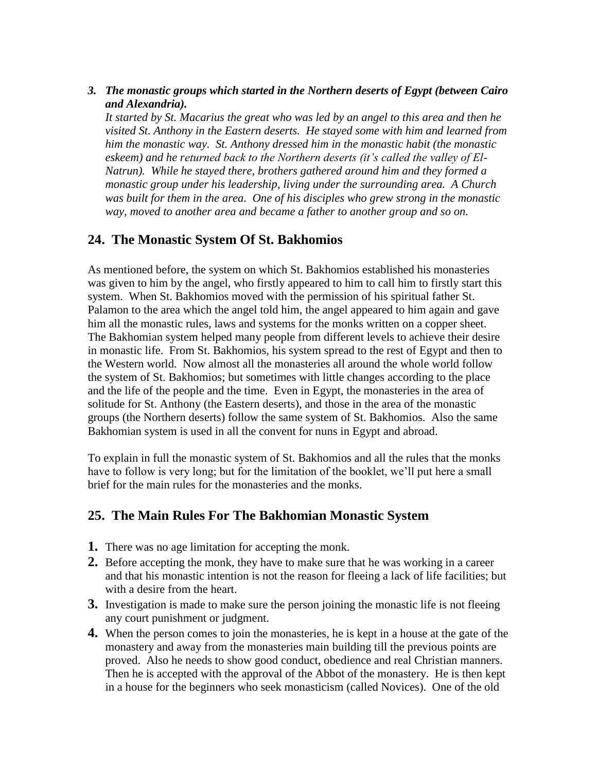*3. The monastic groups which started in the Northern deserts of Egypt (between Cairo and Alexandria).* 

*It started by St. Macarius the great who was led by an angel to this area and then he visited St. Anthony in the Eastern deserts. He stayed some with him and learned from him the monastic way. St. Anthony dressed him in the monastic habit (the monastic eskeem) and he returned back to the Northern deserts (it's called the valley of El-Natrun). While he stayed there, brothers gathered around him and they formed a monastic group under his leadership, living under the surrounding area. A Church was built for them in the area. One of his disciples who grew strong in the monastic way, moved to another area and became a father to another group and so on.*

# **24. The Monastic System Of St. Bakhomios**

As mentioned before, the system on which St. Bakhomios established his monasteries was given to him by the angel, who firstly appeared to him to call him to firstly start this system. When St. Bakhomios moved with the permission of his spiritual father St. Palamon to the area which the angel told him, the angel appeared to him again and gave him all the monastic rules, laws and systems for the monks written on a copper sheet. The Bakhomian system helped many people from different levels to achieve their desire in monastic life. From St. Bakhomios, his system spread to the rest of Egypt and then to the Western world. Now almost all the monasteries all around the whole world follow the system of St. Bakhomios; but sometimes with little changes according to the place and the life of the people and the time. Even in Egypt, the monasteries in the area of solitude for St. Anthony (the Eastern deserts), and those in the area of the monastic groups (the Northern deserts) follow the same system of St. Bakhomios. Also the same Bakhomian system is used in all the convent for nuns in Egypt and abroad.

To explain in full the monastic system of St. Bakhomios and all the rules that the monks have to follow is very long; but for the limitation of the booklet, we"ll put here a small brief for the main rules for the monasteries and the monks.

# **25. The Main Rules For The Bakhomian Monastic System**

- **1.** There was no age limitation for accepting the monk.
- **2.** Before accepting the monk, they have to make sure that he was working in a career and that his monastic intention is not the reason for fleeing a lack of life facilities; but with a desire from the heart.
- **3.** Investigation is made to make sure the person joining the monastic life is not fleeing any court punishment or judgment.
- **4.** When the person comes to join the monasteries, he is kept in a house at the gate of the monastery and away from the monasteries main building till the previous points are proved. Also he needs to show good conduct, obedience and real Christian manners. Then he is accepted with the approval of the Abbot of the monastery. He is then kept in a house for the beginners who seek monasticism (called Novices). One of the old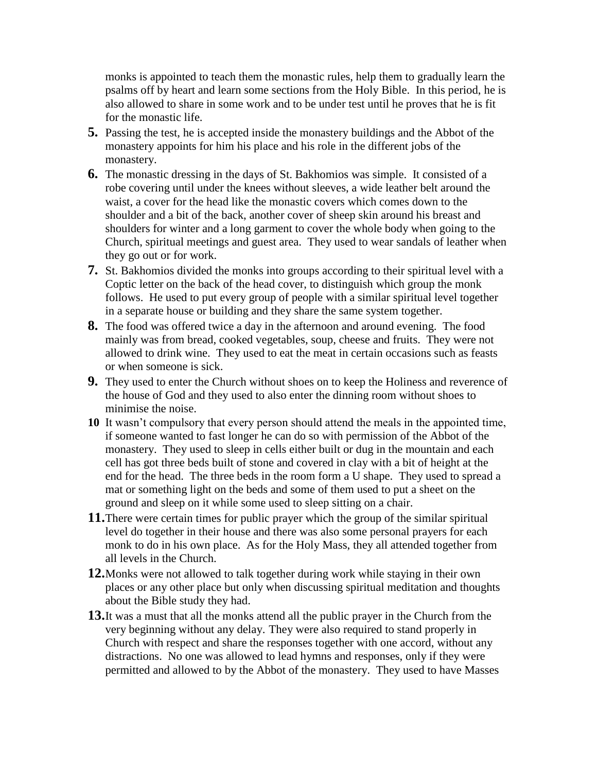monks is appointed to teach them the monastic rules, help them to gradually learn the psalms off by heart and learn some sections from the Holy Bible. In this period, he is also allowed to share in some work and to be under test until he proves that he is fit for the monastic life.

- **5.** Passing the test, he is accepted inside the monastery buildings and the Abbot of the monastery appoints for him his place and his role in the different jobs of the monastery.
- **6.** The monastic dressing in the days of St. Bakhomios was simple. It consisted of a robe covering until under the knees without sleeves, a wide leather belt around the waist, a cover for the head like the monastic covers which comes down to the shoulder and a bit of the back, another cover of sheep skin around his breast and shoulders for winter and a long garment to cover the whole body when going to the Church, spiritual meetings and guest area. They used to wear sandals of leather when they go out or for work.
- **7.** St. Bakhomios divided the monks into groups according to their spiritual level with a Coptic letter on the back of the head cover, to distinguish which group the monk follows. He used to put every group of people with a similar spiritual level together in a separate house or building and they share the same system together.
- **8.** The food was offered twice a day in the afternoon and around evening. The food mainly was from bread, cooked vegetables, soup, cheese and fruits. They were not allowed to drink wine. They used to eat the meat in certain occasions such as feasts or when someone is sick.
- **9.** They used to enter the Church without shoes on to keep the Holiness and reverence of the house of God and they used to also enter the dinning room without shoes to minimise the noise.
- **10** It wasn"t compulsory that every person should attend the meals in the appointed time, if someone wanted to fast longer he can do so with permission of the Abbot of the monastery. They used to sleep in cells either built or dug in the mountain and each cell has got three beds built of stone and covered in clay with a bit of height at the end for the head. The three beds in the room form a U shape. They used to spread a mat or something light on the beds and some of them used to put a sheet on the ground and sleep on it while some used to sleep sitting on a chair.
- **11.**There were certain times for public prayer which the group of the similar spiritual level do together in their house and there was also some personal prayers for each monk to do in his own place. As for the Holy Mass, they all attended together from all levels in the Church.
- **12.**Monks were not allowed to talk together during work while staying in their own places or any other place but only when discussing spiritual meditation and thoughts about the Bible study they had.
- **13.**It was a must that all the monks attend all the public prayer in the Church from the very beginning without any delay. They were also required to stand properly in Church with respect and share the responses together with one accord, without any distractions. No one was allowed to lead hymns and responses, only if they were permitted and allowed to by the Abbot of the monastery. They used to have Masses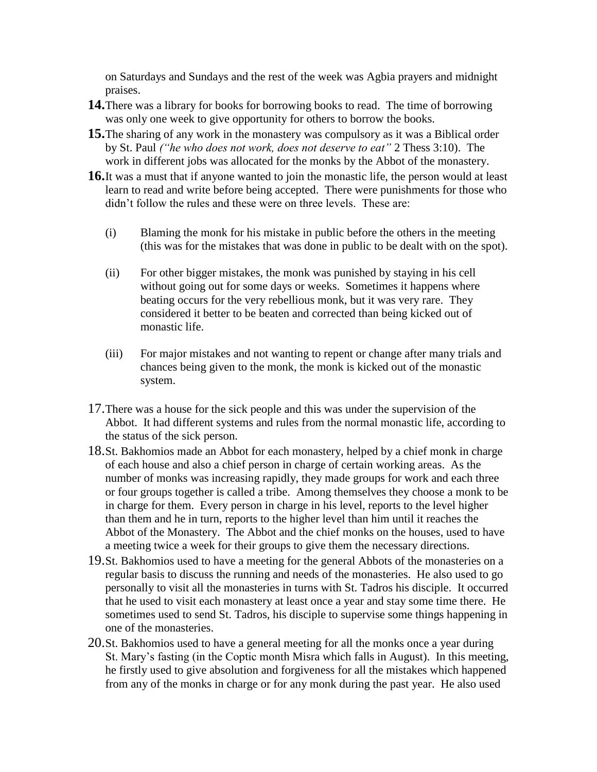on Saturdays and Sundays and the rest of the week was Agbia prayers and midnight praises.

- **14.**There was a library for books for borrowing books to read. The time of borrowing was only one week to give opportunity for others to borrow the books.
- **15.**The sharing of any work in the monastery was compulsory as it was a Biblical order by St. Paul *("he who does not work, does not deserve to eat"* 2 Thess 3:10). The work in different jobs was allocated for the monks by the Abbot of the monastery.
- **16.**It was a must that if anyone wanted to join the monastic life, the person would at least learn to read and write before being accepted. There were punishments for those who didn"t follow the rules and these were on three levels. These are:
	- (i) Blaming the monk for his mistake in public before the others in the meeting (this was for the mistakes that was done in public to be dealt with on the spot).
	- (ii) For other bigger mistakes, the monk was punished by staying in his cell without going out for some days or weeks. Sometimes it happens where beating occurs for the very rebellious monk, but it was very rare. They considered it better to be beaten and corrected than being kicked out of monastic life.
	- (iii) For major mistakes and not wanting to repent or change after many trials and chances being given to the monk, the monk is kicked out of the monastic system.
- 17.There was a house for the sick people and this was under the supervision of the Abbot. It had different systems and rules from the normal monastic life, according to the status of the sick person.
- 18.St. Bakhomios made an Abbot for each monastery, helped by a chief monk in charge of each house and also a chief person in charge of certain working areas. As the number of monks was increasing rapidly, they made groups for work and each three or four groups together is called a tribe. Among themselves they choose a monk to be in charge for them. Every person in charge in his level, reports to the level higher than them and he in turn, reports to the higher level than him until it reaches the Abbot of the Monastery. The Abbot and the chief monks on the houses, used to have a meeting twice a week for their groups to give them the necessary directions.
- 19.St. Bakhomios used to have a meeting for the general Abbots of the monasteries on a regular basis to discuss the running and needs of the monasteries. He also used to go personally to visit all the monasteries in turns with St. Tadros his disciple. It occurred that he used to visit each monastery at least once a year and stay some time there. He sometimes used to send St. Tadros, his disciple to supervise some things happening in one of the monasteries.
- 20.St. Bakhomios used to have a general meeting for all the monks once a year during St. Mary"s fasting (in the Coptic month Misra which falls in August). In this meeting, he firstly used to give absolution and forgiveness for all the mistakes which happened from any of the monks in charge or for any monk during the past year. He also used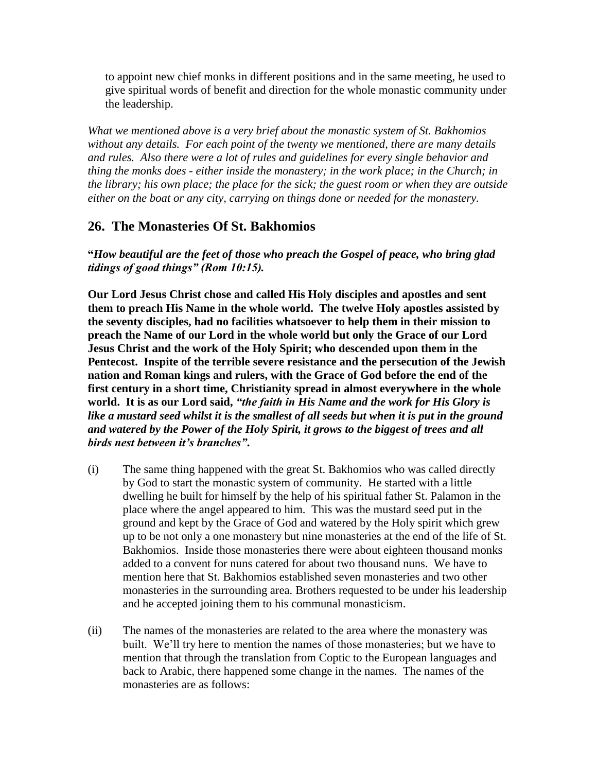to appoint new chief monks in different positions and in the same meeting, he used to give spiritual words of benefit and direction for the whole monastic community under the leadership.

*What we mentioned above is a very brief about the monastic system of St. Bakhomios without any details. For each point of the twenty we mentioned, there are many details and rules. Also there were a lot of rules and guidelines for every single behavior and thing the monks does - either inside the monastery; in the work place; in the Church; in the library; his own place; the place for the sick; the guest room or when they are outside either on the boat or any city, carrying on things done or needed for the monastery.*

# **26. The Monasteries Of St. Bakhomios**

**"***How beautiful are the feet of those who preach the Gospel of peace, who bring glad tidings of good things" (Rom 10:15).*

**Our Lord Jesus Christ chose and called His Holy disciples and apostles and sent them to preach His Name in the whole world. The twelve Holy apostles assisted by the seventy disciples, had no facilities whatsoever to help them in their mission to preach the Name of our Lord in the whole world but only the Grace of our Lord Jesus Christ and the work of the Holy Spirit; who descended upon them in the Pentecost. Inspite of the terrible severe resistance and the persecution of the Jewish nation and Roman kings and rulers, with the Grace of God before the end of the first century in a short time, Christianity spread in almost everywhere in the whole world. It is as our Lord said,** *"the faith in His Name and the work for His Glory is*  like a mustard seed whilst it is the smallest of all seeds but when it is put in the ground *and watered by the Power of the Holy Spirit, it grows to the biggest of trees and all birds nest between it"s branches"***.**

- (i) The same thing happened with the great St. Bakhomios who was called directly by God to start the monastic system of community. He started with a little dwelling he built for himself by the help of his spiritual father St. Palamon in the place where the angel appeared to him. This was the mustard seed put in the ground and kept by the Grace of God and watered by the Holy spirit which grew up to be not only a one monastery but nine monasteries at the end of the life of St. Bakhomios. Inside those monasteries there were about eighteen thousand monks added to a convent for nuns catered for about two thousand nuns. We have to mention here that St. Bakhomios established seven monasteries and two other monasteries in the surrounding area. Brothers requested to be under his leadership and he accepted joining them to his communal monasticism.
- (ii) The names of the monasteries are related to the area where the monastery was built. We"ll try here to mention the names of those monasteries; but we have to mention that through the translation from Coptic to the European languages and back to Arabic, there happened some change in the names. The names of the monasteries are as follows: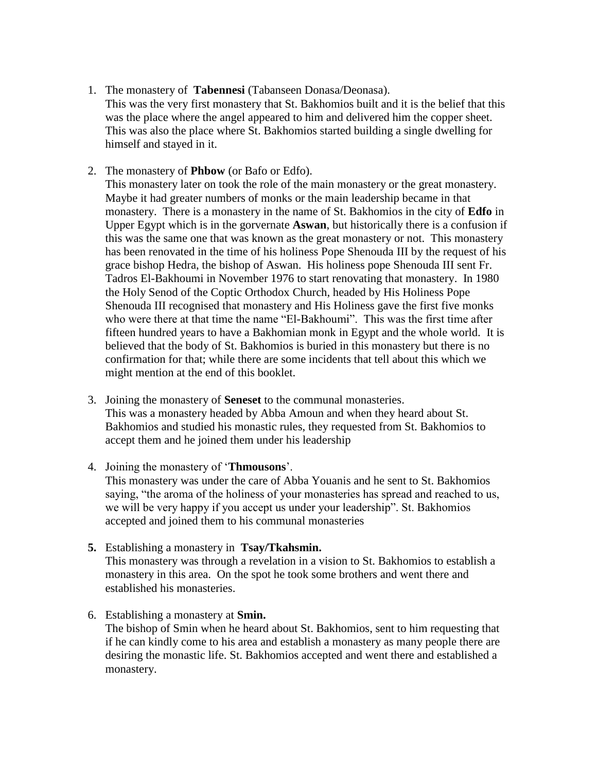- 1. The monastery of **Tabennesi** (Tabanseen Donasa/Deonasa). This was the very first monastery that St. Bakhomios built and it is the belief that this was the place where the angel appeared to him and delivered him the copper sheet. This was also the place where St. Bakhomios started building a single dwelling for himself and stayed in it.
- 2. The monastery of **Phbow** (or Bafo or Edfo).

This monastery later on took the role of the main monastery or the great monastery. Maybe it had greater numbers of monks or the main leadership became in that monastery. There is a monastery in the name of St. Bakhomios in the city of **Edfo** in Upper Egypt which is in the gorvernate **Aswan**, but historically there is a confusion if this was the same one that was known as the great monastery or not. This monastery has been renovated in the time of his holiness Pope Shenouda III by the request of his grace bishop Hedra, the bishop of Aswan. His holiness pope Shenouda III sent Fr. Tadros El-Bakhoumi in November 1976 to start renovating that monastery. In 1980 the Holy Senod of the Coptic Orthodox Church, headed by His Holiness Pope Shenouda III recognised that monastery and His Holiness gave the first five monks who were there at that time the name "El-Bakhoumi". This was the first time after fifteen hundred years to have a Bakhomian monk in Egypt and the whole world. It is believed that the body of St. Bakhomios is buried in this monastery but there is no confirmation for that; while there are some incidents that tell about this which we might mention at the end of this booklet.

- 3. Joining the monastery of **Seneset** to the communal monasteries. This was a monastery headed by Abba Amoun and when they heard about St. Bakhomios and studied his monastic rules, they requested from St. Bakhomios to accept them and he joined them under his leadership
- 4. Joining the monastery of "**Thmousons**".

This monastery was under the care of Abba Youanis and he sent to St. Bakhomios saying, "the aroma of the holiness of your monasteries has spread and reached to us, we will be very happy if you accept us under your leadership". St. Bakhomios accepted and joined them to his communal monasteries

- **5.** Establishing a monastery in **Tsay/Tkahsmin.**  This monastery was through a revelation in a vision to St. Bakhomios to establish a monastery in this area. On the spot he took some brothers and went there and established his monasteries.
- 6. Establishing a monastery at **Smin.** The bishop of Smin when he heard about St. Bakhomios, sent to him requesting that if he can kindly come to his area and establish a monastery as many people there are desiring the monastic life. St. Bakhomios accepted and went there and established a monastery.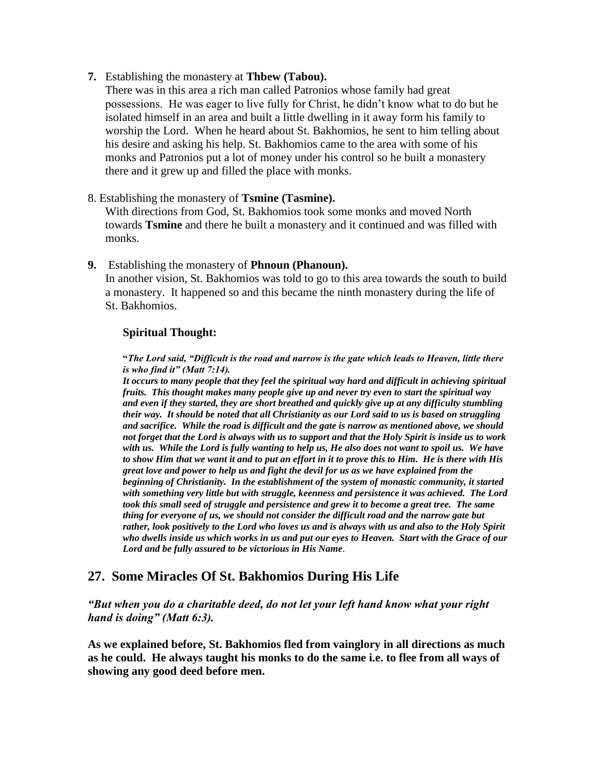**7.** Establishing the monastery at **Thbew (Tabou).**

There was in this area a rich man called Patronios whose family had great possessions. He was eager to live fully for Christ, he didn"t know what to do but he isolated himself in an area and built a little dwelling in it away form his family to worship the Lord. When he heard about St. Bakhomios, he sent to him telling about his desire and asking his help. St. Bakhomios came to the area with some of his monks and Patronios put a lot of money under his control so he built a monastery there and it grew up and filled the place with monks.

8. Establishing the monastery of **Tsmine (Tasmine).**

With directions from God, St. Bakhomios took some monks and moved North towards **Tsmine** and there he built a monastery and it continued and was filled with monks.

**9.** Establishing the monastery of **Phnoun (Phanoun).** In another vision, St. Bakhomios was told to go to this area towards the south to build a monastery. It happened so and this became the ninth monastery during the life of St. Bakhomios.

### **Spiritual Thought:**

**"***The Lord said, "Difficult is the road and narrow is the gate which leads to Heaven, little there is who find it" (Matt 7:14).* 

*It occurs to many people that they feel the spiritual way hard and difficult in achieving spiritual fruits. This thought makes many people give up and never try even to start the spiritual way and even if they started, they are short breathed and quickly give up at any difficulty stumbling their way. It should be noted that all Christianity as our Lord said to us is based on struggling and sacrifice. While the road is difficult and the gate is narrow as mentioned above, we should not forget that the Lord is always with us to support and that the Holy Spirit is inside us to work with us. While the Lord is fully wanting to help us, He also does not want to spoil us. We have to show Him that we want it and to put an effort in it to prove this to Him. He is there with His great love and power to help us and fight the devil for us as we have explained from the beginning of Christianity. In the establishment of the system of monastic community, it started with something very little but with struggle, keenness and persistence it was achieved. The Lord took this small seed of struggle and persistence and grew it to become a great tree. The same thing for everyone of us, we should not consider the difficult road and the narrow gate but rather, look positively to the Lord who loves us and is always with us and also to the Holy Spirit who dwells inside us which works in us and put our eyes to Heaven. Start with the Grace of our Lord and be fully assured to be victorious in His Name.*

### **27. Some Miracles Of St. Bakhomios During His Life**

*"But when you do a charitable deed, do not let your left hand know what your right hand is doing" (Matt 6:3).*

**As we explained before, St. Bakhomios fled from vainglory in all directions as much as he could. He always taught his monks to do the same i.e. to flee from all ways of showing any good deed before men.**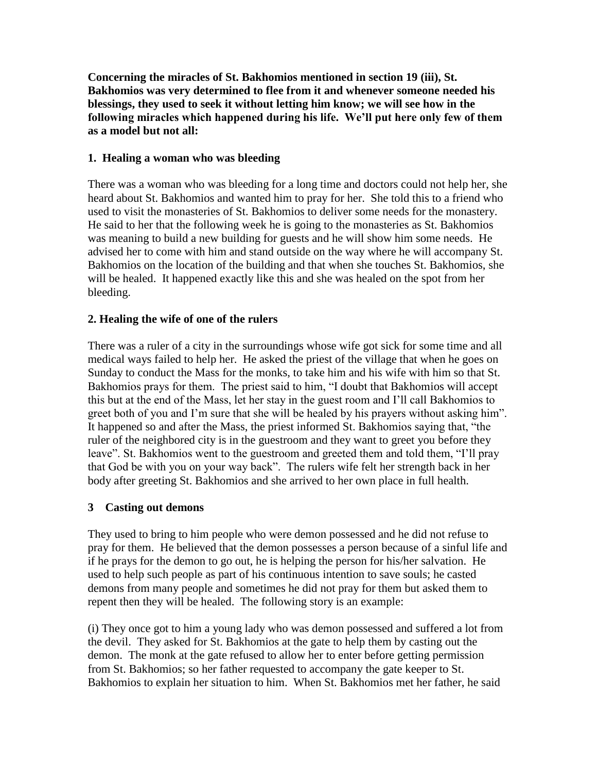**Concerning the miracles of St. Bakhomios mentioned in section 19 (iii), St. Bakhomios was very determined to flee from it and whenever someone needed his blessings, they used to seek it without letting him know; we will see how in the following miracles which happened during his life. We"ll put here only few of them as a model but not all:**

### **1. Healing a woman who was bleeding**

There was a woman who was bleeding for a long time and doctors could not help her, she heard about St. Bakhomios and wanted him to pray for her. She told this to a friend who used to visit the monasteries of St. Bakhomios to deliver some needs for the monastery. He said to her that the following week he is going to the monasteries as St. Bakhomios was meaning to build a new building for guests and he will show him some needs. He advised her to come with him and stand outside on the way where he will accompany St. Bakhomios on the location of the building and that when she touches St. Bakhomios, she will be healed. It happened exactly like this and she was healed on the spot from her bleeding.

### **2. Healing the wife of one of the rulers**

There was a ruler of a city in the surroundings whose wife got sick for some time and all medical ways failed to help her. He asked the priest of the village that when he goes on Sunday to conduct the Mass for the monks, to take him and his wife with him so that St. Bakhomios prays for them. The priest said to him, "I doubt that Bakhomios will accept this but at the end of the Mass, let her stay in the guest room and I"ll call Bakhomios to greet both of you and I"m sure that she will be healed by his prayers without asking him". It happened so and after the Mass, the priest informed St. Bakhomios saying that, "the ruler of the neighbored city is in the guestroom and they want to greet you before they leave". St. Bakhomios went to the guestroom and greeted them and told them, "I"ll pray that God be with you on your way back". The rulers wife felt her strength back in her body after greeting St. Bakhomios and she arrived to her own place in full health.

#### **3 Casting out demons**

They used to bring to him people who were demon possessed and he did not refuse to pray for them. He believed that the demon possesses a person because of a sinful life and if he prays for the demon to go out, he is helping the person for his/her salvation. He used to help such people as part of his continuous intention to save souls; he casted demons from many people and sometimes he did not pray for them but asked them to repent then they will be healed. The following story is an example:

(i) They once got to him a young lady who was demon possessed and suffered a lot from the devil. They asked for St. Bakhomios at the gate to help them by casting out the demon. The monk at the gate refused to allow her to enter before getting permission from St. Bakhomios; so her father requested to accompany the gate keeper to St. Bakhomios to explain her situation to him. When St. Bakhomios met her father, he said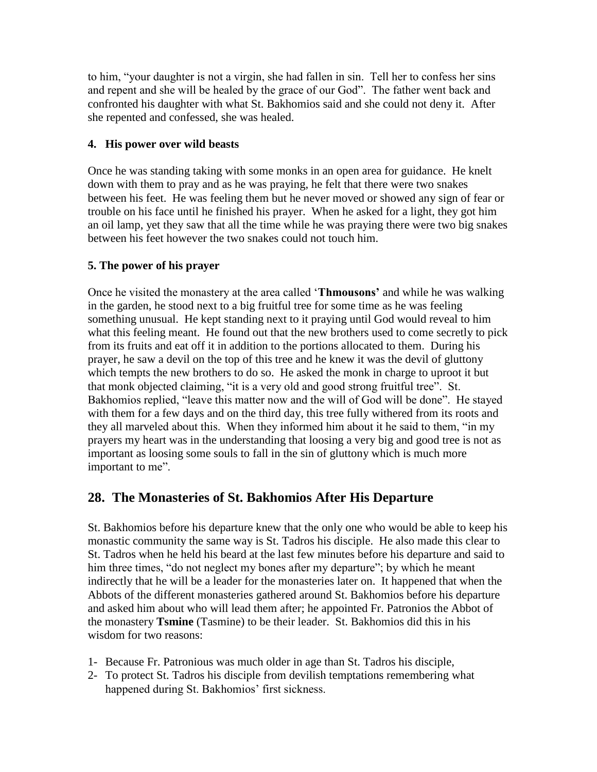to him, "your daughter is not a virgin, she had fallen in sin. Tell her to confess her sins and repent and she will be healed by the grace of our God". The father went back and confronted his daughter with what St. Bakhomios said and she could not deny it. After she repented and confessed, she was healed.

### **4. His power over wild beasts**

Once he was standing taking with some monks in an open area for guidance. He knelt down with them to pray and as he was praying, he felt that there were two snakes between his feet. He was feeling them but he never moved or showed any sign of fear or trouble on his face until he finished his prayer. When he asked for a light, they got him an oil lamp, yet they saw that all the time while he was praying there were two big snakes between his feet however the two snakes could not touch him.

### **5. The power of his prayer**

Once he visited the monastery at the area called "**Thmousons"** and while he was walking in the garden, he stood next to a big fruitful tree for some time as he was feeling something unusual. He kept standing next to it praying until God would reveal to him what this feeling meant. He found out that the new brothers used to come secretly to pick from its fruits and eat off it in addition to the portions allocated to them. During his prayer, he saw a devil on the top of this tree and he knew it was the devil of gluttony which tempts the new brothers to do so. He asked the monk in charge to uproot it but that monk objected claiming, "it is a very old and good strong fruitful tree". St. Bakhomios replied, "leave this matter now and the will of God will be done". He stayed with them for a few days and on the third day, this tree fully withered from its roots and they all marveled about this. When they informed him about it he said to them, "in my prayers my heart was in the understanding that loosing a very big and good tree is not as important as loosing some souls to fall in the sin of gluttony which is much more important to me".

# **28. The Monasteries of St. Bakhomios After His Departure**

St. Bakhomios before his departure knew that the only one who would be able to keep his monastic community the same way is St. Tadros his disciple. He also made this clear to St. Tadros when he held his beard at the last few minutes before his departure and said to him three times, "do not neglect my bones after my departure"; by which he meant indirectly that he will be a leader for the monasteries later on. It happened that when the Abbots of the different monasteries gathered around St. Bakhomios before his departure and asked him about who will lead them after; he appointed Fr. Patronios the Abbot of the monastery **Tsmine** (Tasmine) to be their leader. St. Bakhomios did this in his wisdom for two reasons:

- 1- Because Fr. Patronious was much older in age than St. Tadros his disciple,
- 2- To protect St. Tadros his disciple from devilish temptations remembering what happened during St. Bakhomios' first sickness.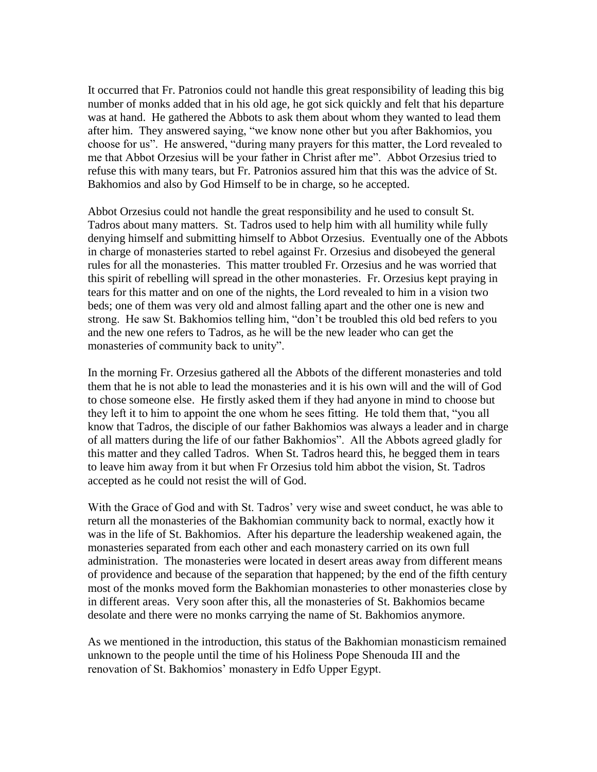It occurred that Fr. Patronios could not handle this great responsibility of leading this big number of monks added that in his old age, he got sick quickly and felt that his departure was at hand. He gathered the Abbots to ask them about whom they wanted to lead them after him. They answered saying, "we know none other but you after Bakhomios, you choose for us". He answered, "during many prayers for this matter, the Lord revealed to me that Abbot Orzesius will be your father in Christ after me". Abbot Orzesius tried to refuse this with many tears, but Fr. Patronios assured him that this was the advice of St. Bakhomios and also by God Himself to be in charge, so he accepted.

Abbot Orzesius could not handle the great responsibility and he used to consult St. Tadros about many matters. St. Tadros used to help him with all humility while fully denying himself and submitting himself to Abbot Orzesius. Eventually one of the Abbots in charge of monasteries started to rebel against Fr. Orzesius and disobeyed the general rules for all the monasteries. This matter troubled Fr. Orzesius and he was worried that this spirit of rebelling will spread in the other monasteries. Fr. Orzesius kept praying in tears for this matter and on one of the nights, the Lord revealed to him in a vision two beds; one of them was very old and almost falling apart and the other one is new and strong. He saw St. Bakhomios telling him, "don"t be troubled this old bed refers to you and the new one refers to Tadros, as he will be the new leader who can get the monasteries of community back to unity".

In the morning Fr. Orzesius gathered all the Abbots of the different monasteries and told them that he is not able to lead the monasteries and it is his own will and the will of God to chose someone else. He firstly asked them if they had anyone in mind to choose but they left it to him to appoint the one whom he sees fitting. He told them that, "you all know that Tadros, the disciple of our father Bakhomios was always a leader and in charge of all matters during the life of our father Bakhomios". All the Abbots agreed gladly for this matter and they called Tadros. When St. Tadros heard this, he begged them in tears to leave him away from it but when Fr Orzesius told him abbot the vision, St. Tadros accepted as he could not resist the will of God.

With the Grace of God and with St. Tadros' very wise and sweet conduct, he was able to return all the monasteries of the Bakhomian community back to normal, exactly how it was in the life of St. Bakhomios. After his departure the leadership weakened again, the monasteries separated from each other and each monastery carried on its own full administration. The monasteries were located in desert areas away from different means of providence and because of the separation that happened; by the end of the fifth century most of the monks moved form the Bakhomian monasteries to other monasteries close by in different areas. Very soon after this, all the monasteries of St. Bakhomios became desolate and there were no monks carrying the name of St. Bakhomios anymore.

As we mentioned in the introduction, this status of the Bakhomian monasticism remained unknown to the people until the time of his Holiness Pope Shenouda III and the renovation of St. Bakhomios' monastery in Edfo Upper Egypt.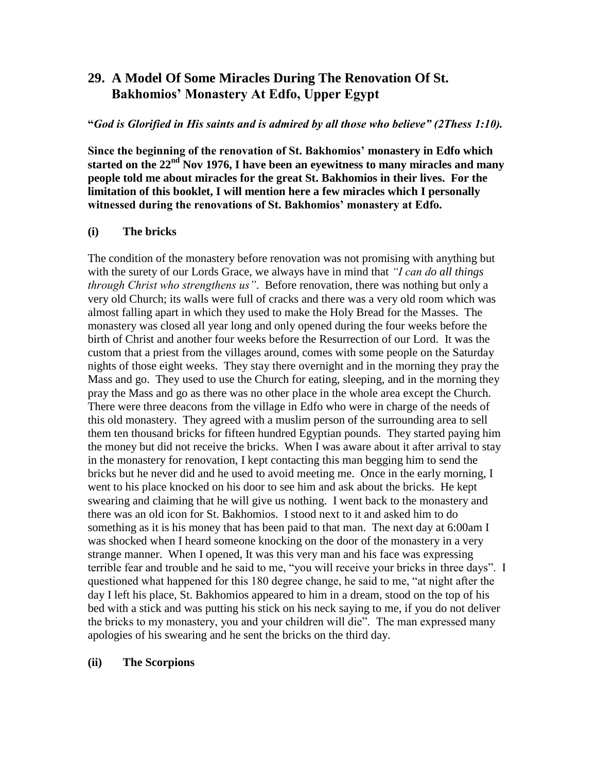# **29. A Model Of Some Miracles During The Renovation Of St. Bakhomios" Monastery At Edfo, Upper Egypt**

#### **"***God is Glorified in His saints and is admired by all those who believe" (2Thess 1:10).*

**Since the beginning of the renovation of St. Bakhomios" monastery in Edfo which started on the 22nd Nov 1976, I have been an eyewitness to many miracles and many people told me about miracles for the great St. Bakhomios in their lives. For the limitation of this booklet, I will mention here a few miracles which I personally witnessed during the renovations of St. Bakhomios" monastery at Edfo.**

#### **(i) The bricks**

The condition of the monastery before renovation was not promising with anything but with the surety of our Lords Grace, we always have in mind that *"I can do all things through Christ who strengthens us"*. Before renovation, there was nothing but only a very old Church; its walls were full of cracks and there was a very old room which was almost falling apart in which they used to make the Holy Bread for the Masses. The monastery was closed all year long and only opened during the four weeks before the birth of Christ and another four weeks before the Resurrection of our Lord. It was the custom that a priest from the villages around, comes with some people on the Saturday nights of those eight weeks. They stay there overnight and in the morning they pray the Mass and go. They used to use the Church for eating, sleeping, and in the morning they pray the Mass and go as there was no other place in the whole area except the Church. There were three deacons from the village in Edfo who were in charge of the needs of this old monastery. They agreed with a muslim person of the surrounding area to sell them ten thousand bricks for fifteen hundred Egyptian pounds. They started paying him the money but did not receive the bricks. When I was aware about it after arrival to stay in the monastery for renovation, I kept contacting this man begging him to send the bricks but he never did and he used to avoid meeting me. Once in the early morning, I went to his place knocked on his door to see him and ask about the bricks. He kept swearing and claiming that he will give us nothing. I went back to the monastery and there was an old icon for St. Bakhomios. I stood next to it and asked him to do something as it is his money that has been paid to that man. The next day at 6:00am I was shocked when I heard someone knocking on the door of the monastery in a very strange manner. When I opened, It was this very man and his face was expressing terrible fear and trouble and he said to me, "you will receive your bricks in three days". I questioned what happened for this 180 degree change, he said to me, "at night after the day I left his place, St. Bakhomios appeared to him in a dream, stood on the top of his bed with a stick and was putting his stick on his neck saying to me, if you do not deliver the bricks to my monastery, you and your children will die". The man expressed many apologies of his swearing and he sent the bricks on the third day.

#### **(ii) The Scorpions**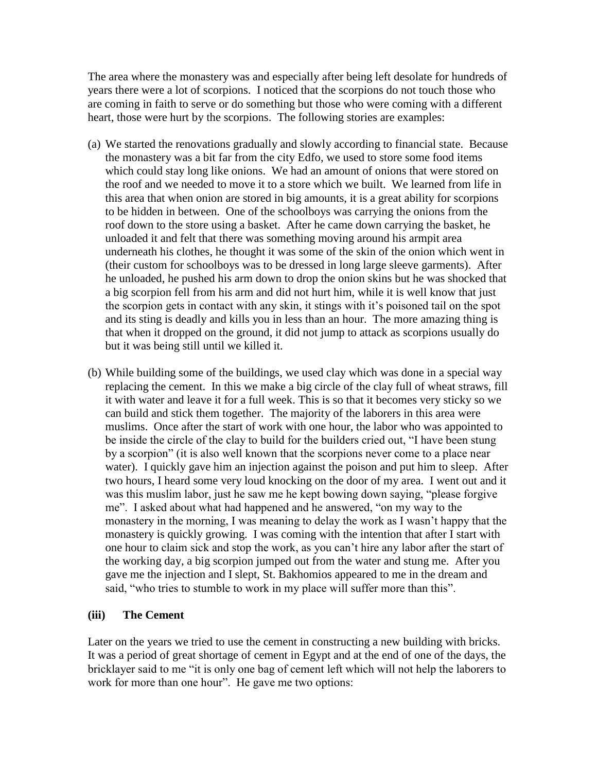The area where the monastery was and especially after being left desolate for hundreds of years there were a lot of scorpions. I noticed that the scorpions do not touch those who are coming in faith to serve or do something but those who were coming with a different heart, those were hurt by the scorpions. The following stories are examples:

- (a) We started the renovations gradually and slowly according to financial state. Because the monastery was a bit far from the city Edfo, we used to store some food items which could stay long like onions. We had an amount of onions that were stored on the roof and we needed to move it to a store which we built. We learned from life in this area that when onion are stored in big amounts, it is a great ability for scorpions to be hidden in between. One of the schoolboys was carrying the onions from the roof down to the store using a basket. After he came down carrying the basket, he unloaded it and felt that there was something moving around his armpit area underneath his clothes, he thought it was some of the skin of the onion which went in (their custom for schoolboys was to be dressed in long large sleeve garments). After he unloaded, he pushed his arm down to drop the onion skins but he was shocked that a big scorpion fell from his arm and did not hurt him, while it is well know that just the scorpion gets in contact with any skin, it stings with it"s poisoned tail on the spot and its sting is deadly and kills you in less than an hour. The more amazing thing is that when it dropped on the ground, it did not jump to attack as scorpions usually do but it was being still until we killed it.
- (b) While building some of the buildings, we used clay which was done in a special way replacing the cement. In this we make a big circle of the clay full of wheat straws, fill it with water and leave it for a full week. This is so that it becomes very sticky so we can build and stick them together. The majority of the laborers in this area were muslims. Once after the start of work with one hour, the labor who was appointed to be inside the circle of the clay to build for the builders cried out, "I have been stung by a scorpion" (it is also well known that the scorpions never come to a place near water). I quickly gave him an injection against the poison and put him to sleep. After two hours, I heard some very loud knocking on the door of my area. I went out and it was this muslim labor, just he saw me he kept bowing down saying, "please forgive me". I asked about what had happened and he answered, "on my way to the monastery in the morning, I was meaning to delay the work as I wasn"t happy that the monastery is quickly growing. I was coming with the intention that after I start with one hour to claim sick and stop the work, as you can"t hire any labor after the start of the working day, a big scorpion jumped out from the water and stung me. After you gave me the injection and I slept, St. Bakhomios appeared to me in the dream and said, "who tries to stumble to work in my place will suffer more than this".

### **(iii) The Cement**

Later on the years we tried to use the cement in constructing a new building with bricks. It was a period of great shortage of cement in Egypt and at the end of one of the days, the bricklayer said to me "it is only one bag of cement left which will not help the laborers to work for more than one hour". He gave me two options: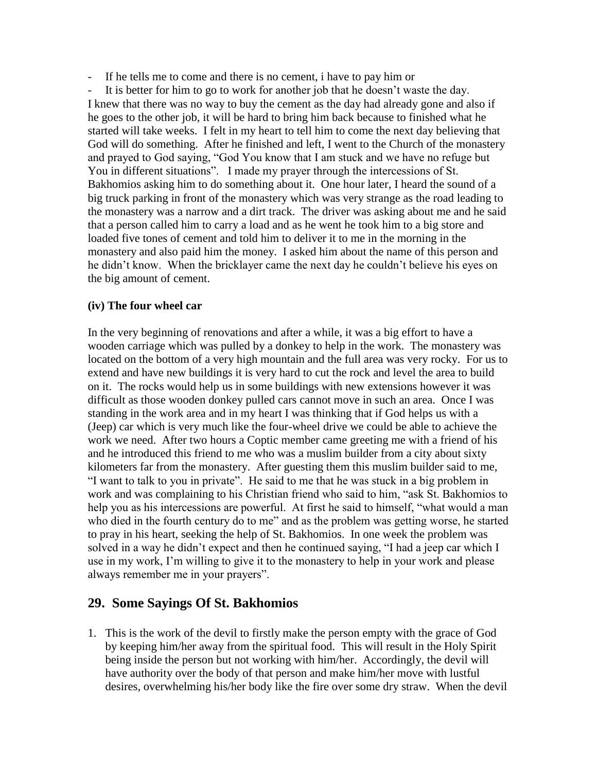- If he tells me to come and there is no cement, i have to pay him or

It is better for him to go to work for another job that he doesn't waste the day. I knew that there was no way to buy the cement as the day had already gone and also if he goes to the other job, it will be hard to bring him back because to finished what he started will take weeks. I felt in my heart to tell him to come the next day believing that God will do something. After he finished and left, I went to the Church of the monastery and prayed to God saying, "God You know that I am stuck and we have no refuge but You in different situations". I made my prayer through the intercessions of St. Bakhomios asking him to do something about it. One hour later, I heard the sound of a big truck parking in front of the monastery which was very strange as the road leading to the monastery was a narrow and a dirt track. The driver was asking about me and he said that a person called him to carry a load and as he went he took him to a big store and loaded five tones of cement and told him to deliver it to me in the morning in the monastery and also paid him the money. I asked him about the name of this person and he didn"t know. When the bricklayer came the next day he couldn"t believe his eyes on the big amount of cement.

#### **(iv) The four wheel car**

In the very beginning of renovations and after a while, it was a big effort to have a wooden carriage which was pulled by a donkey to help in the work. The monastery was located on the bottom of a very high mountain and the full area was very rocky. For us to extend and have new buildings it is very hard to cut the rock and level the area to build on it. The rocks would help us in some buildings with new extensions however it was difficult as those wooden donkey pulled cars cannot move in such an area. Once I was standing in the work area and in my heart I was thinking that if God helps us with a (Jeep) car which is very much like the four-wheel drive we could be able to achieve the work we need. After two hours a Coptic member came greeting me with a friend of his and he introduced this friend to me who was a muslim builder from a city about sixty kilometers far from the monastery. After guesting them this muslim builder said to me, "I want to talk to you in private". He said to me that he was stuck in a big problem in work and was complaining to his Christian friend who said to him, "ask St. Bakhomios to help you as his intercessions are powerful. At first he said to himself, "what would a man who died in the fourth century do to me" and as the problem was getting worse, he started to pray in his heart, seeking the help of St. Bakhomios. In one week the problem was solved in a way he didn"t expect and then he continued saying, "I had a jeep car which I use in my work, I"m willing to give it to the monastery to help in your work and please always remember me in your prayers".

### **29. Some Sayings Of St. Bakhomios**

1. This is the work of the devil to firstly make the person empty with the grace of God by keeping him/her away from the spiritual food. This will result in the Holy Spirit being inside the person but not working with him/her. Accordingly, the devil will have authority over the body of that person and make him/her move with lustful desires, overwhelming his/her body like the fire over some dry straw. When the devil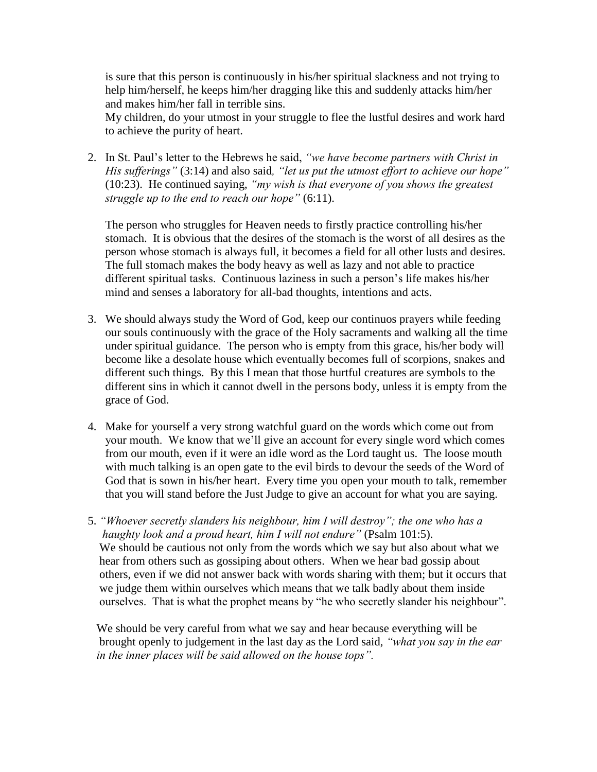is sure that this person is continuously in his/her spiritual slackness and not trying to help him/herself, he keeps him/her dragging like this and suddenly attacks him/her and makes him/her fall in terrible sins.

My children, do your utmost in your struggle to flee the lustful desires and work hard to achieve the purity of heart.

2. In St. Paul"s letter to the Hebrews he said, *"we have become partners with Christ in His sufferings"* (3:14) and also said*, "let us put the utmost effort to achieve our hope"* (10:23). He continued saying, *"my wish is that everyone of you shows the greatest struggle up to the end to reach our hope"* (6:11).

The person who struggles for Heaven needs to firstly practice controlling his/her stomach. It is obvious that the desires of the stomach is the worst of all desires as the person whose stomach is always full, it becomes a field for all other lusts and desires. The full stomach makes the body heavy as well as lazy and not able to practice different spiritual tasks. Continuous laziness in such a person"s life makes his/her mind and senses a laboratory for all-bad thoughts, intentions and acts.

- 3. We should always study the Word of God, keep our continuos prayers while feeding our souls continuously with the grace of the Holy sacraments and walking all the time under spiritual guidance. The person who is empty from this grace, his/her body will become like a desolate house which eventually becomes full of scorpions, snakes and different such things. By this I mean that those hurtful creatures are symbols to the different sins in which it cannot dwell in the persons body, unless it is empty from the grace of God.
- 4. Make for yourself a very strong watchful guard on the words which come out from your mouth. We know that we"ll give an account for every single word which comes from our mouth, even if it were an idle word as the Lord taught us. The loose mouth with much talking is an open gate to the evil birds to devour the seeds of the Word of God that is sown in his/her heart. Every time you open your mouth to talk, remember that you will stand before the Just Judge to give an account for what you are saying.
- 5. *"Whoever secretly slanders his neighbour, him I will destroy"; the one who has a haughty look and a proud heart, him I will not endure"* (Psalm 101:5). We should be cautious not only from the words which we say but also about what we hear from others such as gossiping about others. When we hear bad gossip about others, even if we did not answer back with words sharing with them; but it occurs that we judge them within ourselves which means that we talk badly about them inside ourselves. That is what the prophet means by "he who secretly slander his neighbour".

 We should be very careful from what we say and hear because everything will be brought openly to judgement in the last day as the Lord said, *"what you say in the ear in the inner places will be said allowed on the house tops".*